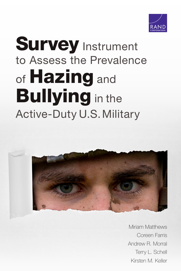

# **Survey Instrument** to Assess the Prevalence of Hazing and **Bullying** in the Active-Duty U.S. Military



Miriam Matthews Coreen Farris Andrew R. Morral Terry L. Schell Kirsten M. Keller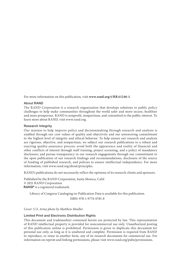For more information on this publication, visit **[www.rand.org/t/RRA1246-1](http://www.rand.org/t/RRA1246-1)**.

#### About RAND

The RAND Corporation is a research organization that develops solutions to public policy challenges to help make communities throughout the world safer and more secure, healthier and more prosperous. RAND is nonprofit, nonpartisan, and committed to the public interest. To learn more about RAND, visit [www.rand.org.](http://www.rand.org)

#### Research Integrity

Our mission to help improve policy and decisionmaking through research and analysis is enabled through our core values of quality and objectivity and our unwavering commitment to the highest level of integrity and ethical behavior. To help ensure our research and analysis are rigorous, objective, and nonpartisan, we subject our research publications to a robust and exacting quality-assurance process; avoid both the appearance and reality of financial and other conflicts of interest through staff training, project screening, and a policy of mandatory disclosure; and pursue transparency in our research engagements through our commitment to the open publication of our research findings and recommendations, disclosure of the source of funding of published research, and policies to ensure intellectual independence. For more information, visit [www.rand.org/about/principles.](http://www.rand.org/about/principles)

RAND's publications do not necessarily reflect the opinions of its research clients and sponsors.

Published by the RAND Corporation, Santa Monica, Calif. © 2021 RAND Corporation RAND<sup>®</sup> is a registered trademark.

Library of Congress Cataloging-in-Publication Data is available for this publication.

ISBN: 978-1-9774-0781-8

*Cover: U.S. Army photo by Matthew Moeller.* 

#### Limited Print and Electronic Distribution Rights

This document and trademark(s) contained herein are protected by law. This representation of RAND intellectual property is provided for noncommercial use only. Unauthorized posting of this publication online is prohibited. Permission is given to duplicate this document for personal use only, as long as it is unaltered and complete. Permission is required from RAND to reproduce, or reuse in another form, any of its research documents for commercial use. For information on reprint and linking permissions, please visit [www.rand.org/pubs/permissions.](http://www.rand.org/pubs/permissions)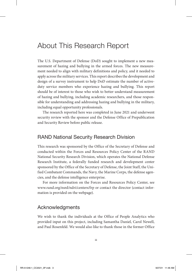# About This Research Report

The U.S. Department of Defense (DoD) sought to implement a new measurement of hazing and bullying in the armed forces. The new measurement needed to align with military definitions and policy, and it needed to apply across the military services. This report describes the development and design of a survey instrument to help DoD estimate the number of activeduty service members who experience hazing and bullying. This report should be of interest to those who wish to better understand measurement of hazing and bullying, including academic researchers, and those responsible for understanding and addressing hazing and bullying in the military, including equal opportunity professionals.

The research reported here was completed in June 2021 and underwent security review with the sponsor and the Defense Office of Prepublication and Security Review before public release.

### RAND National Security Research Division

This research was sponsored by the Office of the Secretary of Defense and conducted within the Forces and Resources Policy Center of the RAND National Security Research Division, which operates the National Defense Research Institute, a federally funded research and development center sponsored by the Office of the Secretary of Defense, the Joint Staff, the Unified Combatant Commands, the Navy, the Marine Corps, the defense agencies, and the defense intelligence enterprise.

For more information on the Forces and Resources Policy Center, see [www.rand.org/nsrd/ndri/centers/frp](http://www.rand.org/nsrd/ndri/centers/frp) or contact the director (contact information is provided on the webpage).

### Acknowledgments

We wish to thank the individuals at the Office of People Analytics who provided input on this project, including Samantha Daniel, Carol Newell, and Paul Rosenfeld. We would also like to thank those in the former Office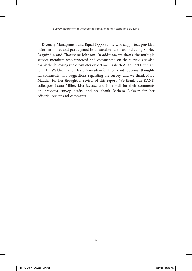of Diversity Management and Equal Opportunity who supported, provided information to, and participated in discussions with us, including Shirley Raguindin and Charmane Johnson. In addition, we thank the multiple service members who reviewed and commented on the survey. We also thank the following subject-matter experts—Elizabeth Allan, Joel Neuman, Jennifer Waldron, and David Yamada—for their contributions, thoughtful comments, and suggestions regarding the survey; and we thank Mary Madden for her thoughtful review of this report. We thank our RAND colleagues Laura Miller, Lisa Jaycox, and Kim Hall for their comments on previous survey drafts, and we thank Barbara Bicksler for her editorial review and comments.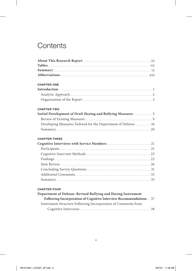# **Contents**

#### CHAPTER ONE

#### CHAPTER TWO

| Initial Development of Draft Hazing and Bullying Measures 5    |  |
|----------------------------------------------------------------|--|
|                                                                |  |
| Developing Measures Tailored for the Department of Defense  16 |  |
|                                                                |  |
|                                                                |  |

#### CHAPTER THREE

#### CHAPTER FOUR

| Department of Defense-Revised Bullying and Hazing Instrument     |  |
|------------------------------------------------------------------|--|
| Following Incorporation of Cognitive Interview Recommendations37 |  |
| Instrument Structure Following Incorporation of Comments from    |  |
|                                                                  |  |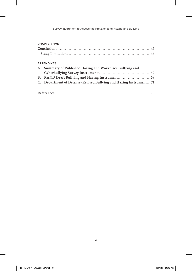| <b>CHAPTER FIVE</b>                                               |
|-------------------------------------------------------------------|
|                                                                   |
|                                                                   |
|                                                                   |
| <b>APPENDIXES</b>                                                 |
| A. Summary of Published Hazing and Workplace Bullying and         |
|                                                                   |
|                                                                   |
| C. Department of Defense-Revised Bullying and Hazing Instrument71 |
|                                                                   |
|                                                                   |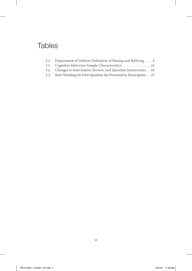# Tables

- 2.1. Department of Defense Definition of Hazing and Bullying ...... 6
- 3.1. Cognitive Interview Sample Characteristics...............................22
- 3.2. Changes to Instrument, Section, and Question Instructions.... 24
- 3.3. Item Wording for First Question Set Presented to Participants.... 27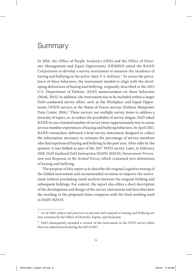# **Summary**

In 2016, the Office of People Analytics (OPA) and the Office of Diversity Management and Equal Opportunity (ODMEO) asked the RAND Corporation to develop a survey instrument to measure the incidence of hazing and bullying in the active-duty U.S. military.<sup>1</sup> To assess the prevalence of these behaviors, the instrument needed to align with the developing definitions of hazing and bullying, originally described in the 2015 U.S. Department of Defense (DoD) memorandum on these behaviors (Work, 2015). In addition, the instrument was to be included within a larger DoD-conducted survey effort, such as the Workplace and Equal Opportunity (WEO) surveys or the Status of Forces surveys (Defense Manpower Data Center, 2016).<sup>2</sup> These surveys use multiple survey items to address a diversity of topics, so, to reduce the possibility of survey fatigue, DoD asked RAND to use a limited number of survey items (approximately ten) to assess service member experiences of hazing and bullying behaviors. In April 2017, RAND researchers delivered a brief survey instrument designed to collect the information necessary to estimate the percentage of service members who had experienced hazing and bullying in the past year. After edits by the sponsor, it was fielded as part of the 2017 WEO survey. Later, in February 2018, DoD finalized DoD Instruction (DoDI) 1020.03, *Harassment Prevention and Response in the Armed Forces*, which contained new definitions of hazing and bullying.

The purpose of this report is to describe the original cognitive testing of the fielded instrument and recommended revisions to improve the instrument without precluding trend analysis between the original fielding and subsequent fieldings. For context, the report also offers a short description of the development and design of the survey instrument and describes how the wording in the proposed items compares with the final wording used in DoDI 1020.03.

<sup>1</sup> As of 2018, policy and practices to prevent and respond to hazing and bullying are now overseen by the Office of Diversity, Equity, and Inclusion.

 $2$  DoD subsequently included a version of the instrument in the WEO survey effort that was administered during the fall of 2017.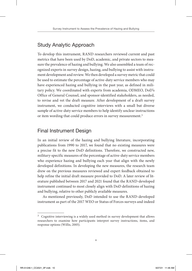### Study Analytic Approach

To develop this instrument, RAND researchers reviewed current and past metrics that have been used by DoD, academic, and private sectors to measure the prevalence of hazing and bullying. We also assembled a team of recognized experts in survey design, hazing, and bullying to assist with instrument development and review. We then developed a survey metric that could be used to estimate the percentage of active-duty service members who may have experienced hazing and bullying in the past year, as defined in military policy. We coordinated with experts from academia, ODMEO, DoD's Office of General Counsel, and sponsor-identified stakeholders, as needed, to revise and vet the draft measure. After development of a draft survey instrument, we conducted cognitive interviews with a small but diverse sample of active-duty service members to help identify unclear instructions or item wording that could produce errors in survey measurement.<sup>3</sup>

### Final Instrument Design

In an initial review of the hazing and bullying literature, incorporating publications from 1990 to 2017, we found that no existing measures were a precise fit to the new DoD definitions. Therefore, we constructed new, military-specific measures of the percentage of active-duty service members who experience hazing and bullying each year that align with the newly developed definitions. In developing the new measures, the research team drew on the previous measures reviewed and expert feedback obtained to help refine the initial draft measure provided to DoD. A later review of literature published between 2017 and 2021 found that the RAND-developed instrument continued to most closely align with DoD definitions of hazing and bullying, relative to other publicly available measures.

As mentioned previously, DoD intended to use the RAND-developed instrument as part of the 2017 WEO or Status of Forces surveys and indeed

 $3$  Cognitive interviewing is a widely used method in survey development that allows researchers to examine how participants interpret survey instructions, items, and response options (Willis, 2005).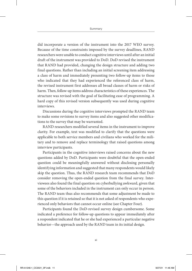did incorporate a version of the instrument into the 2017 WEO survey. Because of the time constraints imposed by the survey deadlines, RAND researchers were unable to conduct cognitive interviews until after an initial draft of the instrument was provided to DoD. DoD revised the instrument that RAND had provided, changing the design structure and adding two final questions. Rather than including an initial screening item addressing a class of harm and immediately presenting two follow-up items to those who indicated that they had experienced the referenced class of harm, the revised instrument first addresses all broad classes of harm or risks of harm. Then, follow-up items address characteristics of these experiences. The structure was revised with the goal of facilitating ease of programming. A hard copy of this revised version subsequently was used during cognitive interviews.

Discussions during the cognitive interviews prompted the RAND team to make some revisions to survey items and also suggested other modifications to the survey that may be warranted.

RAND researchers modified several items in the instrument to improve clarity. For example, text was modified to clarify that the questions were applicable to both service members and civilians who worked for the military and to remove and replace terminology that raised questions among interview participants.

Participants in the cognitive interviews raised concerns about the new questions added by DoD. Participants were doubtful that the open-ended question could be meaningfully answered without disclosing personally identifying information and suggested that many respondents would likely skip the question. Thus, the RAND research team recommends that DoD consider removing the open-ended question from the final survey. Interviewees also found the final question on cyberbullying awkward, given that some of the behaviors included in the instrument can only occur in person. The RAND team thus also recommends that some adjustment be made to this question if it is retained so that it is not asked of respondents who experienced only behaviors that cannot occur online (see Chapter Four).

Participants found the DoD-revised survey design cumbersome. Some indicated a preference for follow-up questions to appear immediately after a respondent indicated that he or she had experienced a particular negative behavior—the approach used by the RAND team in its initial design.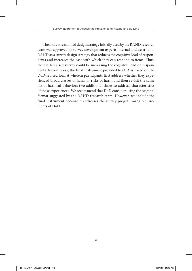The more streamlined design strategy initially used by the RAND research team was approved by survey development experts internal and external to RAND as a survey design strategy that reduces the cognitive load of respondents and increases the ease with which they can respond to items. Thus, the DoD-revised survey could be increasing the cognitive load on respondents. Nevertheless, the final instrument provided to OPA is based on the DoD-revised format wherein participants first address whether they experienced broad classes of harm or risks of harm and then revisit the same list of harmful behaviors two additional times to address characteristics of these experiences. We recommend that DoD consider using the original format suggested by the RAND research team. However, we include the final instrument because it addresses the survey programming requirements of DoD.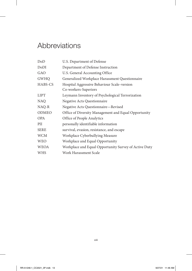# Abbreviations

| DoD          | U.S. Department of Defense                            |
|--------------|-------------------------------------------------------|
| DoDI         | Department of Defense Instruction                     |
| GAO          | U.S. General Accounting Office                        |
| <b>GWHQ</b>  | Generalized Workplace Harassment Questionnaire        |
| HABS-CS      | Hospital Aggressive Behaviour Scale-version           |
|              | Co-workers-Superiors                                  |
| <b>LIPT</b>  | Leymann Inventory of Psychological Terrorization      |
| NAO          | Negative Acts Questionnaire                           |
| NAQ-R        | Negative Acts Questionnaire-Revised                   |
| <b>ODMEO</b> | Office of Diversity Management and Equal Opportunity  |
| <b>OPA</b>   | Office of People Analytics                            |
| PII          | personally identifiable information                   |
| <b>SERE</b>  | survival, evasion, resistance, and escape             |
| <b>WCM</b>   | Workplace Cyberbullying Measure                       |
| <b>WEO</b>   | Workplace and Equal Opportunity                       |
| <b>WEOA</b>  | Workplace and Equal Opportunity Survey of Active Duty |
| <b>WHS</b>   | Work Harassment Scale                                 |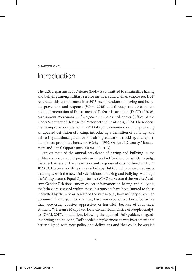#### CHAPTER ONE

## Introduction

The U.S. Department of Defense (DoD) is committed to eliminating hazing and bullying among military service members and civilian employees. DoD reiterated this commitment in a 2015 memorandum on hazing and bullying prevention and response (Work, 2015) and through the development and implementation of Department of Defense Instruction (DoDI) 1020.03, *Harassment Prevention and Response in the Armed Forces* (Office of the Under Secretary of Defense for Personnel and Readiness, 2018). These documents improve on a previous 1997 DoD policy memorandum by providing an updated definition of hazing; introducing a definition of bullying; and delivering additional guidance on training, education, tracking, and reporting of these prohibited behaviors (Cohen, 1997; Office of Diversity Management and Equal Opportunity [ODMEO], 2017).

An estimate of the annual prevalence of hazing and bullying in the military services would provide an important baseline by which to judge the effectiveness of the prevention and response efforts outlined in DoDI 1020.03. However, existing survey efforts by DoD do not provide an estimate that aligns with the new DoD definitions of hazing and bullying. Although the Workplace and Equal Opportunity (WEO) surveys and the Service Academy Gender Relations survey collect information on hazing and bullying, the behaviors assessed within these instruments have been limited to those motivated by the race or gender of the victim (e.g., have military or civilian personnel "hazed you [for example, have you experienced forced behaviors that were cruel, abusive, oppressive, or harmful] because of your race/ ethnicity?"; Defense Manpower Data Center, 2014; Office of People Analytics [OPA], 2017). In addition, following the updated DoD guidance regarding hazing and bullying, DoD needed a replacement survey instrument that better aligned with new policy and definitions and that could be applied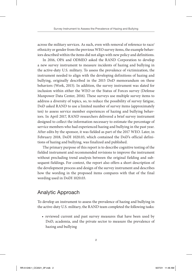across the military services. As such, even with removal of reference to race/ ethnicity or gender from the previous WEO survey items, the example behaviors described within the items did not align with new policy and definitions.

In 2016, OPA and ODMEO asked the RAND Corporation to develop a new survey instrument to measure incidents of hazing and bullying in the active-duty U.S. military. To assess the prevalence of victimization, the instrument needed to align with the developing definitions of hazing and bullying, originally described in the 2015 DoD memorandum on these behaviors (Work, 2015). In addition, the survey instrument was slated for inclusion within either the WEO or the Status of Forces survey (Defense Manpower Data Center, 2016). These surveys use multiple survey items to address a diversity of topics, so, to reduce the possibility of survey fatigue, DoD asked RAND to use a limited number of survey items (approximately ten) to assess service member experiences of hazing and bullying behaviors. In April 2017, RAND researchers delivered a brief survey instrument designed to collect the information necessary to estimate the percentage of service members who had experienced hazing and bullying in the past year. After edits by the sponsor, it was fielded as part of the 2017 WEO. Later, in February 2018, DoDI 1020.03, which contained the DoD's official definitions of hazing and bullying, was finalized and published.

The primary purpose of this report is to describe cognitive testing of the fielded instrument and recommended revisions to improve the instrument without precluding trend analysis between the original fielding and subsequent fieldings. For context, the report also offers a short description of the development process and design of the survey instrument and describes how the wording in the proposed items compares with that of the final wording used in DoDI 1020.03.

### Analytic Approach

To develop an instrument to assess the prevalence of hazing and bullying in the active-duty U.S. military, the RAND team completed the following tasks:

• reviewed current and past survey measures that have been used by DoD, academia, and the private sector to measure the prevalence of hazing and bullying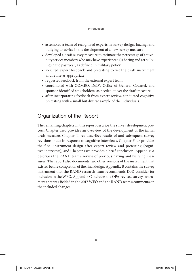- assembled a team of recognized experts in survey design, hazing, and bullying to advise in the development of a new survey measure
- developed a draft survey measure to estimate the percentage of activeduty service members who may have experienced (1) hazing and (2) bullying in the past year, as defined in military policy
- solicited expert feedback and pretesting to vet the draft instrument and revise as appropriate
- requested feedback from the external expert team
- coordinated with ODMEO, DoD's Office of General Counsel, and sponsor-identified stakeholders, as needed, to vet the draft measure
- after incorporating feedback from expert review, conducted cognitive pretesting with a small but diverse sample of the individuals.

### Organization of the Report

The remaining chapters in this report describe the survey development process. Chapter Two provides an overview of the development of the initial draft measure. Chapter Three describes results of and subsequent survey revisions made in response to cognitive interviews, Chapter Four provides the final instrument design after expert review and pretesting (cognitive interviews), and Chapter Five provides a brief conclusion. Appendix A describes the RAND team's review of previous hazing and bullying measures. The report also documents two other versions of the instrument that existed before completion of the final design. Appendix B contains the survey instrument that the RAND research team recommends DoD consider for inclusion in the WEO. Appendix C includes the OPA-revised survey instrument that was fielded in the 2017 WEO and the RAND team's comments on the included changes.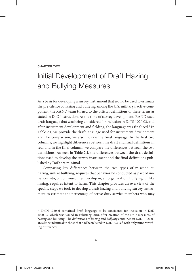#### CHAPTER TWO

# Initial Development of Draft Hazing and Bullying Measures

As a basis for developing a survey instrument that would be used to estimate the prevalence of hazing and bullying among the U.S. military's active component, the RAND team turned to the official definitions of these terms as stated in DoD instruction. At the time of survey development, RAND used draft language that was being considered for inclusion in DoDI 1020.03, and after instrument development and fielding, the language was finalized.<sup>1</sup> In Table 2.1, we provide the draft language used for instrument development and, for comparison, we also include the final language. In the first two columns, we highlight differences between the draft and final definitions in red, and in the final column, we compare the differences between the two definitions. As seen in Table 2.1, the differences between the draft definitions used to develop the survey instrument and the final definitions published by DoD are minimal.

Comparing key differences between the two types of misconduct, hazing, unlike bullying, requires that behavior be conducted as part of initiation into, or continued membership in, an organization. Bullying, unlike hazing, requires intent to harm. This chapter provides an overview of the specific steps we took to develop a draft hazing and bullying survey instrument to estimate the percentage of active-duty service members who may

<sup>1</sup> DoDI 1020.ef contained draft language to be considered for inclusion in DoD 1020.03, which was issued in February 2018, after creation of the DoD measures of hazing and bullying. The definitions of *hazing* and *bullying* contained in DoDI 1020.03 are almost identical to those that had been listed in DoD 1020.ef, with only minor wording differences.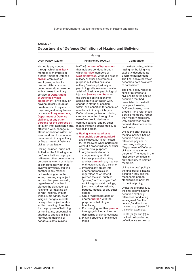#### TABLE 2.1 Department of Defense Definition of Hazing and Bullying

#### Hazing

| Draft Policy 1020.ef                                                                                                                                                                                                                                                                                                                                                                                                    | Final Policy 1020.03                                                                                                                                                                                                                                                                                                                                                                                                                                                                        | Comparison                                                                                                                                                                                                                                                                                                                         |
|-------------------------------------------------------------------------------------------------------------------------------------------------------------------------------------------------------------------------------------------------------------------------------------------------------------------------------------------------------------------------------------------------------------------------|---------------------------------------------------------------------------------------------------------------------------------------------------------------------------------------------------------------------------------------------------------------------------------------------------------------------------------------------------------------------------------------------------------------------------------------------------------------------------------------------|------------------------------------------------------------------------------------------------------------------------------------------------------------------------------------------------------------------------------------------------------------------------------------------------------------------------------------|
| Hazing is any conduct                                                                                                                                                                                                                                                                                                                                                                                                   | HAZING. A form of harassment                                                                                                                                                                                                                                                                                                                                                                                                                                                                | In the draft policy, neither                                                                                                                                                                                                                                                                                                       |
| through which a military                                                                                                                                                                                                                                                                                                                                                                                                | that includes conduct through                                                                                                                                                                                                                                                                                                                                                                                                                                                               | hazing nor bullying was                                                                                                                                                                                                                                                                                                            |
| member or members or                                                                                                                                                                                                                                                                                                                                                                                                    | which Service members or                                                                                                                                                                                                                                                                                                                                                                                                                                                                    | explicitly described as                                                                                                                                                                                                                                                                                                            |
| a Department of Defense                                                                                                                                                                                                                                                                                                                                                                                                 | DoD employees, without a proper                                                                                                                                                                                                                                                                                                                                                                                                                                                             | a form of harassment.                                                                                                                                                                                                                                                                                                              |
| civilian employee or                                                                                                                                                                                                                                                                                                                                                                                                    | military or other governmental                                                                                                                                                                                                                                                                                                                                                                                                                                                              | The final policy, however,                                                                                                                                                                                                                                                                                                         |
| employees, without a                                                                                                                                                                                                                                                                                                                                                                                                    | purpose but with a nexus to                                                                                                                                                                                                                                                                                                                                                                                                                                                                 | describes both as a form                                                                                                                                                                                                                                                                                                           |
| proper military or other                                                                                                                                                                                                                                                                                                                                                                                                | military Service, physically or                                                                                                                                                                                                                                                                                                                                                                                                                                                             | of harassment.                                                                                                                                                                                                                                                                                                                     |
| governmental purpose but<br>with a nexus to military<br>service or Department<br>of Defense civilian<br>employment, physically or<br>psychologically injure or<br>create a risk of physical or<br>psychological injury to one<br>or more military members,<br><b>Department of Defense</b><br>civilians, or any other<br>persons for the purpose of:<br>initiation into, admission into,<br>affiliation with, change in | psychologically injures or creates<br>a risk of physical or psychological<br>injury to Service members for<br>the purpose of: initiation into,<br>admission into, affiliation with,<br>change in status or position<br>within, or a condition for continued<br>membership in any military or<br>DoD civilian organization. Hazing<br>can be conducted through the<br>use of electronic devices or<br>communications, and by other<br>means including social media, as<br>well as in person. | The final policy removes<br>explicit reference to<br>civilians from the hazing<br>definition that had<br>been listed in the draft<br>policy-addressing<br>DoD employees, more<br>broadly-and references<br>Service members, rather<br>than military members.<br>DoD employees are not<br>defined elsewhere in the<br>final policy. |
| status or position within, or                                                                                                                                                                                                                                                                                                                                                                                           | a. Hazing is evaluated by a                                                                                                                                                                                                                                                                                                                                                                                                                                                                 | Unlike the draft policy's,                                                                                                                                                                                                                                                                                                         |
| as a condition for continued                                                                                                                                                                                                                                                                                                                                                                                            | reasonable person standard                                                                                                                                                                                                                                                                                                                                                                                                                                                                  | the final policy's hazing                                                                                                                                                                                                                                                                                                          |
| membership in any military                                                                                                                                                                                                                                                                                                                                                                                              | and includes, but is not limited                                                                                                                                                                                                                                                                                                                                                                                                                                                            | definition does not                                                                                                                                                                                                                                                                                                                |
| or Department of Defense                                                                                                                                                                                                                                                                                                                                                                                                | to, the following when performed                                                                                                                                                                                                                                                                                                                                                                                                                                                            | reference physical or                                                                                                                                                                                                                                                                                                              |
| civilian organization.                                                                                                                                                                                                                                                                                                                                                                                                  | without a proper military or other                                                                                                                                                                                                                                                                                                                                                                                                                                                          | psychological injury to                                                                                                                                                                                                                                                                                                            |
| Hazing includes, but is not                                                                                                                                                                                                                                                                                                                                                                                             | governmental purpose:                                                                                                                                                                                                                                                                                                                                                                                                                                                                       | "Department of Defense                                                                                                                                                                                                                                                                                                             |
| limited to, the following when                                                                                                                                                                                                                                                                                                                                                                                          | 1. Any form of initiation or                                                                                                                                                                                                                                                                                                                                                                                                                                                                | civilians, or any other                                                                                                                                                                                                                                                                                                            |
| performed without a proper                                                                                                                                                                                                                                                                                                                                                                                              | congratulatory act that                                                                                                                                                                                                                                                                                                                                                                                                                                                                     | persons." The focus in the                                                                                                                                                                                                                                                                                                         |
| military or other governmental                                                                                                                                                                                                                                                                                                                                                                                          | involves physically striking                                                                                                                                                                                                                                                                                                                                                                                                                                                                | final policy definition is                                                                                                                                                                                                                                                                                                         |
| purpose: any form of initiation                                                                                                                                                                                                                                                                                                                                                                                         | another <b>person</b> in any manner                                                                                                                                                                                                                                                                                                                                                                                                                                                         | only on injury to Service                                                                                                                                                                                                                                                                                                          |
| or congratulatory act that                                                                                                                                                                                                                                                                                                                                                                                              | or threatening to do the same;                                                                                                                                                                                                                                                                                                                                                                                                                                                              | members.                                                                                                                                                                                                                                                                                                                           |
| involves physically striking                                                                                                                                                                                                                                                                                                                                                                                            | 2. Pressing any object into                                                                                                                                                                                                                                                                                                                                                                                                                                                                 | Unlike the draft policy's,                                                                                                                                                                                                                                                                                                         |
| another in any manner                                                                                                                                                                                                                                                                                                                                                                                                   | another person's skin,                                                                                                                                                                                                                                                                                                                                                                                                                                                                      | the final policy's hazing                                                                                                                                                                                                                                                                                                          |
| or threatening to do the                                                                                                                                                                                                                                                                                                                                                                                                | regardless of whether it                                                                                                                                                                                                                                                                                                                                                                                                                                                                    | definition includes the                                                                                                                                                                                                                                                                                                            |
| same; pressing any object                                                                                                                                                                                                                                                                                                                                                                                               | pierces the skin, such as                                                                                                                                                                                                                                                                                                                                                                                                                                                                   | reasonable person                                                                                                                                                                                                                                                                                                                  |
| into another person's skin,                                                                                                                                                                                                                                                                                                                                                                                             | "pinning" or "tacking on" of                                                                                                                                                                                                                                                                                                                                                                                                                                                                | standard (see point (a)                                                                                                                                                                                                                                                                                                            |
| regardless of whether it                                                                                                                                                                                                                                                                                                                                                                                                | rank insignia, aviator wings,                                                                                                                                                                                                                                                                                                                                                                                                                                                               | of the final policy).                                                                                                                                                                                                                                                                                                              |
| pierces the skin, such as                                                                                                                                                                                                                                                                                                                                                                                               | jump wings, diver insignia,                                                                                                                                                                                                                                                                                                                                                                                                                                                                 | Unlike the draft policy's,                                                                                                                                                                                                                                                                                                         |
| "pinning" or "tacking on"                                                                                                                                                                                                                                                                                                                                                                                               | badges, medals, or any other                                                                                                                                                                                                                                                                                                                                                                                                                                                                | the final policy's hazing                                                                                                                                                                                                                                                                                                          |
| of rank insignia, aviator                                                                                                                                                                                                                                                                                                                                                                                               | object;                                                                                                                                                                                                                                                                                                                                                                                                                                                                                     | definition explicitly                                                                                                                                                                                                                                                                                                              |
| wings, jump wings, diver                                                                                                                                                                                                                                                                                                                                                                                                | 3. Oral or written berating of                                                                                                                                                                                                                                                                                                                                                                                                                                                              | references conducting                                                                                                                                                                                                                                                                                                              |
| insignia, badges, medals,                                                                                                                                                                                                                                                                                                                                                                                               | another person with the                                                                                                                                                                                                                                                                                                                                                                                                                                                                     | acts against "another                                                                                                                                                                                                                                                                                                              |
| or any other object; oral or<br>written berating of another<br>for the purpose of belittling<br>or humiliating; encouraging<br>another to engage in illegal,                                                                                                                                                                                                                                                            | purpose of belittling or<br>humiliating;<br>4. Encouraging another person<br>to engage in illegal, harmful,<br>demeaning or dangerous acts;                                                                                                                                                                                                                                                                                                                                                 | person," and includes<br>mention of a "person" in<br>the earlier examples.<br>Points (b), (c), and (d) in                                                                                                                                                                                                                          |

5. Playing abusive or malicious tricks;

harmful, demeaning or dangerous acts; playing Points (b), (c), and (d) in the final policy's hazing definition are somewhat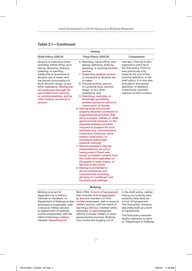| Hazing                                                                                                                                                                                                                                                                                                                                                                                                     |                                                                                                                                                                                                                                                                                                                                                                                                                                                                                                                                                                                                                                                                                                                                                                                                                                                                                                                                                                                                                                                                                                                                                           |                                                                                                                                                                                                                                                                                                                      |  |  |
|------------------------------------------------------------------------------------------------------------------------------------------------------------------------------------------------------------------------------------------------------------------------------------------------------------------------------------------------------------------------------------------------------------|-----------------------------------------------------------------------------------------------------------------------------------------------------------------------------------------------------------------------------------------------------------------------------------------------------------------------------------------------------------------------------------------------------------------------------------------------------------------------------------------------------------------------------------------------------------------------------------------------------------------------------------------------------------------------------------------------------------------------------------------------------------------------------------------------------------------------------------------------------------------------------------------------------------------------------------------------------------------------------------------------------------------------------------------------------------------------------------------------------------------------------------------------------------|----------------------------------------------------------------------------------------------------------------------------------------------------------------------------------------------------------------------------------------------------------------------------------------------------------------------|--|--|
| Draft Policy 1020.ef                                                                                                                                                                                                                                                                                                                                                                                       | Final Policy 1020.03                                                                                                                                                                                                                                                                                                                                                                                                                                                                                                                                                                                                                                                                                                                                                                                                                                                                                                                                                                                                                                                                                                                                      | Comparison                                                                                                                                                                                                                                                                                                           |  |  |
| abusive or malicious tricks;<br>branding, handcuffing, duct<br>taping, tattooing, shaving,<br>greasing, or painting;<br>subjecting to excessive or<br>abusive use of water; and<br>the forced consumption of<br>food, alcohol, drugs, or any<br>other substance. Hazing can<br>be conducted through the<br>use of electronic devices<br>or communications, and by<br>other means, as well as in<br>person. | 6. Branding, handcuffing, duct<br>taping, tattooing, shaving,<br>greasing, or painting another<br>person;<br>7. Subjecting another person<br>to excessive or abusive use<br>of water;<br>8. Forcing another person<br>to consume food, alcohol,<br>drugs, or any other<br>substance; and<br>9. Soliciting, coercing, or<br>knowingly permitting<br>another person to solicit or<br>coerce acts of hazing.<br>b. Hazing does not include<br>properly directed command or<br>organizational activities that<br>serve a proper military or other<br>governmental purpose, or the<br>requisite training activities<br>required to prepare for such<br>activities (e.g., administrative<br>corrective measures, extra<br>military instruction, or<br>command-authorized<br>physical training).<br>c. Service members may be<br>responsible for an act of<br>hazing even if there was<br>actual or implied consent from<br>the victim and regardless of<br>the grade or rank, status, or<br>Service of the victim.<br>d. Hazing is prohibited in<br>all circumstances and<br>environments including<br>off-duty or "unofficial" unit<br>functions and settings. | new text. Point (b) is also<br>captured in point (a) of<br>the final policy. Point (c)<br>was previously only<br>listed at the end of the<br>bullying definition in the<br>draft policy. It is now also<br>included in the hazing<br>definition. In addition.<br>it previously included<br>mention of DoD civilians. |  |  |

#### Table 2.1—Continued

#### Bullying

Bullying is an act of aggression by a military member or members, or employee or employees, with a nexus to military service or Department of Defense civilian employment, with the intent of harming a military member, Department of

Department of Defense civilian civilian employees, with a nexus to BULLYING. A form of harassment that includes acts of aggression by Service members or DoD military service, with the intent of harming a Service member either physically or psychologically, without a proper military or other governmental purpose. Bullying may involve the singling out of

In the draft policy, neither hazing nor bullying were explicitly described as a form of harassment. The final policy, however, describes both as a form of harassment.

The final policy removes explicit reference to harm to "Department of Defense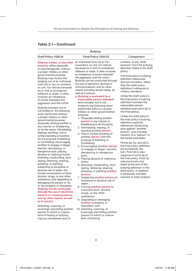#### Table 2.1—Continued

|                                                                                                                                                                                                                                                                                                                                                                                                                                                                                                                                                                                                                                                                                                                 | <b>Bullying</b>                                                                                                                                                                                                                                                                                                                                                                                                                                                                                                                                                                                                        |                                                                                                                                                                                                                                                                                                                                                                                                                                                                                                                                                                          |
|-----------------------------------------------------------------------------------------------------------------------------------------------------------------------------------------------------------------------------------------------------------------------------------------------------------------------------------------------------------------------------------------------------------------------------------------------------------------------------------------------------------------------------------------------------------------------------------------------------------------------------------------------------------------------------------------------------------------|------------------------------------------------------------------------------------------------------------------------------------------------------------------------------------------------------------------------------------------------------------------------------------------------------------------------------------------------------------------------------------------------------------------------------------------------------------------------------------------------------------------------------------------------------------------------------------------------------------------------|--------------------------------------------------------------------------------------------------------------------------------------------------------------------------------------------------------------------------------------------------------------------------------------------------------------------------------------------------------------------------------------------------------------------------------------------------------------------------------------------------------------------------------------------------------------------------|
| Draft Policy 1020.ef                                                                                                                                                                                                                                                                                                                                                                                                                                                                                                                                                                                                                                                                                            | Final Policy 1020.03                                                                                                                                                                                                                                                                                                                                                                                                                                                                                                                                                                                                   | Comparison                                                                                                                                                                                                                                                                                                                                                                                                                                                                                                                                                               |
| Defense civilian, or any other<br>persons, either physically<br>or psychologically, without<br>a proper military or other                                                                                                                                                                                                                                                                                                                                                                                                                                                                                                                                                                                       | an individual from his or her<br>coworkers, or unit, for ridicule<br>because he or she is considered<br>different or weak. It often involves                                                                                                                                                                                                                                                                                                                                                                                                                                                                           | civilians, or any other<br>persons" from the bullying<br>definition listed in the draft<br>policy.                                                                                                                                                                                                                                                                                                                                                                                                                                                                       |
| governmental purpose.<br>Bullying may involve the<br>singling out of an individual<br>from his or her co-workers.<br>or unit, for ridicule because<br>he or she is considered<br>different or weak. It often                                                                                                                                                                                                                                                                                                                                                                                                                                                                                                    | an imbalance of power between<br>the aggressor and the victim.<br>Bullying can be conducted through<br>the use of electronic devices or<br>communications, and by other<br>means including social media, as<br>well as in person.                                                                                                                                                                                                                                                                                                                                                                                      | The final policy's bullying<br>definition references<br>Service members, rather<br>than the draft policy<br>definition's reference to<br>military members.                                                                                                                                                                                                                                                                                                                                                                                                               |
| involves an imbalance<br>of power between the<br>aggressor and the victim.                                                                                                                                                                                                                                                                                                                                                                                                                                                                                                                                                                                                                                      | a. Bullying is evaluated by a<br>reasonable person standard<br>and includes, but is not<br>limited to the following when                                                                                                                                                                                                                                                                                                                                                                                                                                                                                               | Unlike the draft policy's,<br>the final policy's bullying<br>definition includes the<br>reasonable person                                                                                                                                                                                                                                                                                                                                                                                                                                                                |
| Bullying includes, but is<br>not limited to, the following                                                                                                                                                                                                                                                                                                                                                                                                                                                                                                                                                                                                                                                      | performed without a proper<br>military or other governmental                                                                                                                                                                                                                                                                                                                                                                                                                                                                                                                                                           | standard (see point (a) of<br>the final policy).                                                                                                                                                                                                                                                                                                                                                                                                                                                                                                                         |
| when performed without<br>a proper military or other<br>governmental purpose:<br>physically striking another in<br>any manner or threatening<br>to do the same; intimidating;<br>teasing; taunting; oral or<br>written berating of another<br>for the purpose of belittling<br>or humiliating; encouraging<br>another to engage in illegal,<br>harmful, demeaning, or<br>dangerous acts; playing<br>abusive or malicious tricks:<br>branding, handcuffing, duct<br>taping, tattooing, shaving,<br>greasing, or painting;<br>subjecting to excessive or<br>abusive use of water; the<br>forced consumption of food,<br>alcohol, drugs, or any other<br>substance; and degrading or<br>damaging the person or his | purpose:<br>1. Physically striking another<br>person in any manner or<br>threatening to do the same;<br>2. Intimidating, teasing, or<br>taunting another person;<br>3. Oral or written berating of<br>another person with the<br>purpose of belittling or<br>humiliating;<br>4. Encouraging another person<br>to engage in illegal, harmful,<br>demeaning or dangerous<br>acts:<br>5. Playing abusive or malicious<br>tricks:<br>6. Branding, handcuffing, duct<br>taping, tattooing, shaving,<br>greasing, or painting another<br>person;<br>7. Subjecting another person to<br>excessive or abusive use of<br>water: | Unlike the draft policy's,<br>the final policy's bullying<br>definition explicitly<br>references conducting<br>acts against "another<br>person," and includes<br>mention of a "person" in<br>the earlier examples.<br>Points $(b)$ , $(c)$ , and $(d)$ in<br>the final policy definition<br>are somewhat new<br>text. Point (b) is also<br>captured in point (a) of<br>the final policy. Point (c)<br>was previously only<br>listed at the end of the<br>bullying definition in the<br>draft policy. In addition,<br>it previously included<br>mention to DoD civilians. |
| or her property or reputation.<br><b>Bullying can be conducted</b><br>through the use of electronic<br>devices or communications,<br>and by other means, as well<br>as in person.                                                                                                                                                                                                                                                                                                                                                                                                                                                                                                                               | 8. Forcing another person to<br>consume food, alcohol,<br>drugs, or any other<br>substance:<br>9. Degrading or damaging<br>another's property or                                                                                                                                                                                                                                                                                                                                                                                                                                                                       |                                                                                                                                                                                                                                                                                                                                                                                                                                                                                                                                                                          |
| Soliciting, coercing, or                                                                                                                                                                                                                                                                                                                                                                                                                                                                                                                                                                                                                                                                                        | reputation; and<br>$100 - 11.11$                                                                                                                                                                                                                                                                                                                                                                                                                                                                                                                                                                                       |                                                                                                                                                                                                                                                                                                                                                                                                                                                                                                                                                                          |

knowingly permitting another 10. Soliciting, coercing, or acts of hazing or bullying may be considered acts of

person to solicit or coerce knowingly permitting another person to solicit or coerce acts of bullying.

8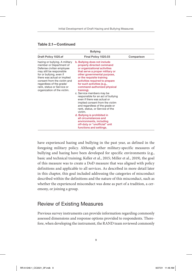| <b>Bullying</b>                                                                                                                                                                                                                                                                                       |                                                                                                                                                                                                                                                                                                                                                                                                                                                                                                                                                                                                                                                                            |            |  |  |
|-------------------------------------------------------------------------------------------------------------------------------------------------------------------------------------------------------------------------------------------------------------------------------------------------------|----------------------------------------------------------------------------------------------------------------------------------------------------------------------------------------------------------------------------------------------------------------------------------------------------------------------------------------------------------------------------------------------------------------------------------------------------------------------------------------------------------------------------------------------------------------------------------------------------------------------------------------------------------------------------|------------|--|--|
| Draft Policy 1020.ef                                                                                                                                                                                                                                                                                  | Final Policy 1020.03                                                                                                                                                                                                                                                                                                                                                                                                                                                                                                                                                                                                                                                       | Comparison |  |  |
| hazing or bullying. A military<br>member or Department of<br>Defense civilian employee<br>may still be responsible<br>for or bullying, even if<br>there was actual or implied<br>consent from the victim and<br>regardless of the grade/<br>rank, status or Service or<br>organization of the victim. | b. Bullying does not include<br>properly directed command<br>or organizational activities<br>that serve a proper military or<br>other governmental purpose,<br>or the requisite training<br>activities required to prepare<br>for such activities (e.g.,<br>command-authorized physical<br>training).<br>c. Service members may be<br>responsible for an act of bullying<br>even if there was actual or<br>implied consent from the victim<br>and regardless of the grade or<br>rank, status, or Service of the<br>victim.<br>d. Bullying is prohibited in<br>all circumstances and<br>environments, including<br>off-duty or "unofficial" unit<br>functions and settings. |            |  |  |

#### Table 2.1—Continued

have experienced hazing and bullying in the past year, as defined in the foregoing military policy. Although other military-specific measures of bullying and hazing have been developed for specific environments (e.g., basic and technical training; Keller et al., 2015; Miller et al., 2019), the goal of this measure was to create a DoD measure that was aligned with policy definitions and applicable to all services. As described in more detail later in this chapter, this goal included addressing the categories of misconduct described within the definitions and the nature of this misconduct, such as whether the experienced misconduct was done as part of a tradition, a ceremony, or joining a group.

### Review of Existing Measures

Previous survey instruments can provide information regarding commonly assessed dimensions and response options provided to respondents. Therefore, when developing the instrument, the RAND team reviewed commonly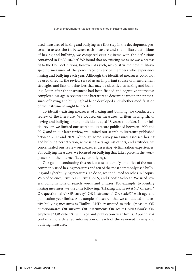used measures of hazing and bullying as a first step in the development process. To assess the fit between each measure and the military definitions of hazing and bullying, we compared existing items with the definitions contained in DoDI 1020.ef. We found that no existing measure was a precise fit to the DoD definitions, however. As such, we constructed new, militaryspecific measures of the percentage of service members who experience hazing and bullying each year. Although the identified measures could not be used directly, the review served as an important source of measurement strategies and lists of behaviors that may be classified as hazing and bullying. Later, after the instrument had been fielded and cognitive interviews completed, we again reviewed the literature to determine whether new measures of hazing and bullying had been developed and whether modification of the instrument might be needed.

To identify existing measures of hazing and bullying, we conducted a review of the literature. We focused on measures, written in English, of hazing and bullying among individuals aged 18 years and older. In our initial review, we limited our search to literature published between 1990 and 2017, and in our later review, we limited our search to literature published between 2017 and 2021. Although some survey measures assessed hazing and bullying perpetration, witnessing acts against others, and attitudes, we concentrated our review on measures assessing victimization experiences. For bullying measures, we focused on bullying that takes place in the workplace or on the internet (i.e., cyberbullying).

Our goal in conducting this review was to identify up to five of the most commonly used hazing measures and ten of the most commonly used bullying and cyberbullying measures. To do so, we conducted searches in Scopus, Web of Science, PsycINFO, PsycTESTS, and Google Scholar. We used several combinations of search words and phrases. For example, to identify hazing measures, we used the following: "(Hazing OR haze) AND (measur\* OR questionnaire\* OR survey\* OR instrument\* OR scale\*)" with age and publication year limits. An example of a search that we conducted to identify bullying measures is "Bully\* AND [restricted to title] (measur\* OR questionnaire\* OR survey\* OR instrument\* OR scale\*) AND (work\* OR employee\* OR cyber\*)" with age and publication year limits. Appendix A contains more detailed information on each of the reviewed hazing and bullying measures.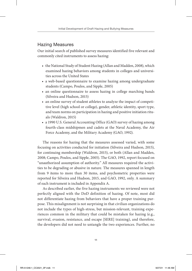### Hazing Measures

Our initial search of published survey measures identified five relevant and commonly cited instruments to assess hazing:

- the National Study of Student Hazing (Allan and Madden, 2008), which examined hazing behaviors among students in colleges and universities across the United States
- a web-based questionnaire to examine hazing among undergraduate students (Campo, Poulos, and Sipple, 2005)
- an online questionnaire to assess hazing in college marching bands (Silveira and Hudson, 2015)
- an online survey of student athletes to analyze the impact of competitive level (high school or college), gender, athletic identity, sport type, and team norms on participation in hazing and positive initiation rituals (Waldron, 2015)
- a 1990 U.S. General Accounting Office (GAO) survey of hazing among fourth-class midshipmen and cadets at the Naval Academy, the Air Force Academy, and the Military Academy (GAO, 1992).

The reasons for hazing that the measures assessed varied, with some focusing on activities conducted for initiation (Silveira and Hudson, 2015), for continuing membership (Waldron, 2015), or both (Allan and Madden, 2008; Campo, Poulos, and Sipple, 2005). The GAO, 1992, report focused on "unauthorized assumption of authority." All measures required the activities to be degrading or abusive in nature. The measures spanned in length from 9 items to more than 30 items, and psychometric properties were reported for Silveira and Hudson, 2015, and GAO, 1992, only. A summary of each instrument is included in Appendix A.

As described earlier, the five hazing instruments we reviewed were not perfectly aligned with the DoD definition of hazing. Of note, most did not differentiate hazing from behaviors that have a proper training purpose. This misalignment is not surprising in that civilian organizations do not include the types of high-stress, but mission-relevant, training experiences common in the military that could be mistaken for hazing (e.g., survival, evasion, resistance, and escape [SERE] training), and therefore, the developers did not need to untangle the two experiences. Further, no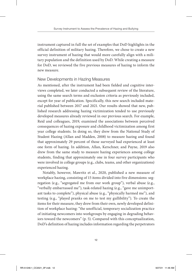instrument captured in full the set of examples that DoD highlights in the official definition of military hazing. Therefore, we chose to create a new survey instrument of hazing that would more carefully align with a military population and the definition used by DoD. While creating a measure for DoD, we reviewed the five previous measures of hazing to inform the new measure.

### New Developments in Hazing Measures

As mentioned, after the instrument had been fielded and cognitive interviews completed, we later conducted a subsequent review of the literature, using the same search terms and exclusion criteria as previously included, except for year of publication. Specifically, this new search included material published between 2017 and 2021. Our results showed that new, published research addressing hazing victimization tended to use previously developed measures already reviewed in our previous search. For example, Reid and colleagues, 2019, examined the associations between perceived consequences of hazing exposure and childhood victimization among first year college students. In doing so, they drew from the National Study of Student Hazing (Allan and Madden, 2008) to measure hazing and found that approximately 29 percent of those surveyed had experienced at least one form of hazing. In addition, Allan, Kerschner, and Payne, 2019 also drew from the same study to measure hazing experiences among college students, finding that approximately one in four survey participants who were involved in college groups (e.g., clubs, teams, and other organizations) experienced hazing.

Notably, however, Mawritz et al., 2020, published a new measure of workplace hazing, consisting of 15 items divided into five dimensions: segregation (e.g., "segregated me from our work group"), verbal abuse (e.g., "verbally embarrassed me"), task-related hazing (e.g., "gave me unimportant tasks to complete"), physical abuse (e.g., "physically harmed me"), and testing (e.g., "played pranks on me to test my gullibility"). To create the items for their measure, they drew from their own, newly developed definition of workplace hazing: "the unofficial, temporary socialization practice of initiating newcomers into workgroups by engaging in degrading behaviors toward the newcomers" (p. 5). Compared with this conceptualization, DoD's definition of hazing includes information regarding the perpetrators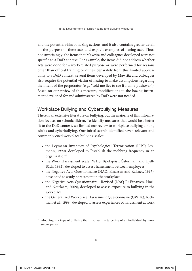and the potential risks of hazing actions, and it also contains greater detail on the purpose of these acts and explicit examples of hazing acts. Thus, not surprisingly, the items that Mawritz and colleagues developed were not specific to a DoD context. For example, the items did not address whether acts were done for a work-related purpose or were performed for reasons other than official training or duties. Separately from this limited applicability to a DoD context, several items developed by Mawritz and colleagues also require the potential victim of hazing to make assumptions regarding the intent of the perpetrator (e.g., "told me lies to see if I am a pushover"). Based on our review of this measure, modifications to the hazing instrument developed for and administered by DoD were not needed.

### Workplace Bullying and Cyberbullying Measures

There is an extensive literature on bullying, but the majority of this information focuses on schoolchildren. To identify measures that would be a better fit to the DoD context, we limited our review to workplace bullying among adults and cyberbullying. Our initial search identified seven relevant and commonly cited workplace bullying scales:

- the Leymann Inventory of Psychological Terrorization (LIPT; Leymann, 1990), developed to "establish the mobbing frequency in an organization"2
- the Work Harassment Scale (WHS; Björkqvist, Österman, and Hjelt-Bäck, 1992), developed to assess harassment between employees
- the Negative Acts Questionnaire (NAQ; Einarsen and Raknes, 1997), developed to study harassment in the workplace
- the Negative Acts Questionnaire—Revised (NAQ-R; Einarsen, Hoel, and Notelaers, 2009), developed to assess exposure to bullying in the workplace
- the Generalized Workplace Harassment Questionnaire (GWHQ; Richman et al., 1999), developed to assess experiences of harassment at work

<sup>&</sup>lt;sup>2</sup> Mobbing is a type of bullying that involves the targeting of an individual by more than one person.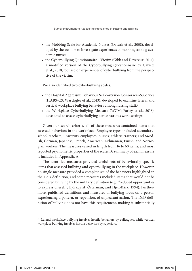- the Mobbing Scale for Academic Nurses (Ozturk et al., 2008), developed by the authors to investigate experiences of mobbing among academic nurses
- the Cyberbullying Questionnaire—Victim (Gibb and Devereux, 2014), a modified version of the Cyberbullying Questionnaire by Calvete et al., 2010, focused on experiences of cyberbullying from the perspective of the victim.

We also identified two cyberbullying scales:

- the Hospital Aggressive Behaviour Scale–version Co-workers-Superiors (HABS-CS; Waschgler et al., 2013), developed to examine lateral and vertical workplace bullying behaviors among nursing staff.<sup>3</sup>
- the Workplace Cyberbullying Measure (WCM; Farley et al., 2016), developed to assess cyberbullying across various work settings.

Given our search criteria, all of these measures contained items that assessed behaviors in the workplace. Employee types included secondaryschool teachers; university employees; nurses; athletic trainers; and Swedish, German, Japanese, French, American, Lithuanian, Finish, and Norwegian workers. The measures varied in length from 16 to 60 items, and most reported psychometric properties of the scales. A summary of each measure is included in Appendix A.

The identified measures provided useful sets of behaviorally specific items that assessed bullying and cyberbullying in the workplace. However, no single measure provided a complete set of the behaviors highlighted in the DoD definition, and some measures included items that would not be considered bullying by the military definition (e.g., "reduced opportunities to express oneself"; Björkqvist, Österman, and Hjelt‐Bäck, 1994). Furthermore, published definitions and measures of bullying focus on a person experiencing a pattern, or repetition, of unpleasant action. The DoD definition of bullying does not have this requirement, making it substantially

<sup>&</sup>lt;sup>3</sup> Lateral workplace bullying involves hostile behaviors by colleagues, while vertical workplace bullying involves hostile behaviors by superiors.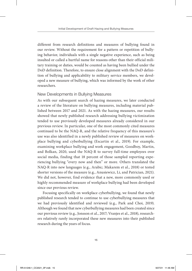different from research definitions and measures of bullying found in our review. Without the requirement for a pattern or repetition of bullying behavior, individuals with a single negative experience, such as being insulted or called a hurtful name for reasons other than their official military training or duties, would be counted as having been bullied under the DoD definition. Therefore, to ensure close alignment with the DoD definition of bullying and applicability to military service members, we developed a new measure of bullying, which was informed by the work of other researchers.

### New Developments in Bullying Measures

As with our subsequent search of hazing measures, we later conducted a review of the literature on bullying measures, including material published between 2017 and 2021. As with the hazing measures, our results showed that newly published research addressing bullying victimization tended to use previously developed measures already considered in our previous review. In particular, one of the most commonly cited measures continued to be the NAQ-R, and the relative frequency of this measure's use was also identified in a newly published review of measures on workplace bullying and cyberbullying (Escartin et al., 2019). For example, examining workplace bullying and work engagement, Goodboy, Martin, and Bolkan, 2020, used the NAQ-R to survey full-time employees over social media, finding that 18 percent of those sampled reporting experiencing bullying "every now and then" or more. Others translated the NAQ-R into new languages (e.g., Arabic; Makarem et al., 2018) or tested shorter versions of the measure (e.g., Anusiewicz, Li, and Patrician, 2021). We did not, however, find evidence that a new, more commonly used or highly recommended measure of workplace bullying had been developed since our previous review.

Focusing specifically on workplace cyberbullying, we found that newly published research tended to continue to use cyberbullying measures that we had previously identified and reviewed (e.g., Park and Choi, 2019). Although we found that new cyberbullying measures had been created since our previous review (e.g., Jonsson et al., 2017; Vranjes et al., 2018), researchers relatively rarely incorporated these new measures into their published research during the years of focus.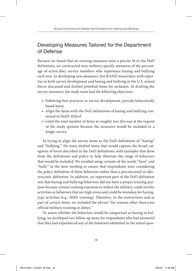### Developing Measures Tailored for the Department of Defense

Because we found that no existing measures were a precise fit to the DoD definitions, we constructed new, military-specific measures of the percentage of active-duty service members who experience hazing and bullying each year. In developing new measures, five RAND researchers with expertise in both survey development and hazing and bullying in the U.S. armed forces discussed and drafted potential items for inclusion. In drafting the survey measures, the study team had the following objectives:

- Following best practices in survey development, provide behaviorally based items.
- Align the items with the DoD definitions of hazing and bullying contained in DoDI 1020.ef.
- Limit the total number of items to roughly ten; this was at the request of the study sponsor because the measures would be included in a longer survey.

In trying to align the survey items to the DoD definitions of "hazing" and "bullying," the team drafted items that would capture the broad categories of harm described in the DoD definitions, with examples that drew from the definitions and policy to help illustrate the range of behaviors that would be included. We avoided using variants of the words "haze" and "bully" in the item wording to ensure that respondents were considering the policy definition of these behaviors rather than a preconceived or idiosyncratic definition. In addition, an important part of the DoD definition was that hazing and bullying behaviors did not have a proper training purpose because certain training experiences within the military could involve activities or behaviors that are high stress and could be mistaken for hazingtype activities (e.g., SERE training). Therefore, in the instructions and as part of certain items, we included the phrase "for reasons other than your official military training or duties."

To assess whether the behaviors would be categorized as hazing or bullying, we developed two follow-up items for respondents who had answered that they had experienced any of the behaviors identified in the initial ques-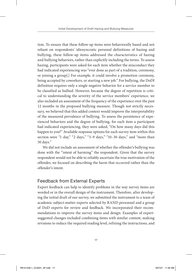tion. To ensure that these follow-up items were behaviorally based and not reliant on respondents' idiosyncratic personal definitions of hazing and bullying, these follow-up items addressed the characteristics of hazing and bullying behaviors, rather than explicitly including the terms. To assess hazing, participants were asked for each item whether the misconduct they had indicated experiencing was "ever done as part of a tradition, ceremony, or joining a group[.] For example, it could involve a promotion ceremony, being accepted by coworkers, or starting a new job." For bullying, the DoDI definition requires only a single negative behavior for a service member to be classified as bullied. However, because the degree of repetition is critical to understanding the severity of the service members' experience, we also included an assessment of the frequency of the experience over the past 12 months in the proposed bullying measure. Though not strictly necessary, we believed that this added context would improve the interpretability of the measured prevalence of bullying. To assess the persistence of experienced behaviors and the degree of bullying, for each item a participant had indicated experiencing, they were asked, "On how many days did this happen to you?" Available response options for each survey item within this section were "1 day," "2 days," "3-9 days," "10-30 days," and "more than 30 days."

We did not include an assessment of whether the offender's bullying was done with the "intent of harming" the respondent. Given that the survey respondent would not be able to reliably ascertain the true motivation of the offender, we focused on describing the harm that occurred rather than the offender's intent.

### Feedback from External Experts

Expert feedback can help to identify problems in the way survey items are worded or in the overall design of the instrument. Therefore, after developing the initial draft of our survey, we submitted the instrument to a team of academic subject-matter experts selected by RAND personnel and a group of DoD experts for review and feedback. We incorporated their recommendations to improve the survey items and design. Examples of expertsuggested changes included combining items with similar content, making revisions to reduce the required reading level, refining the instructions, and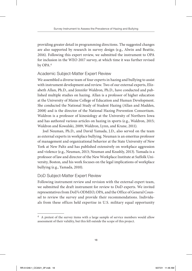providing greater detail in programming directions. The suggested changes are also supported by research in survey design (e.g., Alwin and Beattie, 2016). Following this expert review, we submitted the instrument to OPA for inclusion in the WEO 2017 survey, at which time it was further revised by OPA.4

### Academic Subject-Matter Expert Review

We assembled a diverse team of four experts in hazing and bullying to assist with instrument development and review. Two of our external experts, Elizabeth Allan, Ph.D., and Jennifer Waldron, Ph.D., have conducted and published multiple studies on hazing. Allan is a professor of higher education at the University of Maine College of Education and Human Development. She conducted the National Study of Student Hazing (Allan and Madden, 2008) and is the director of the National Hazing Prevention Consortium. Waldron is a professor of kinesiology at the University of Northern Iowa and has authored various articles on hazing in sports (e.g., Waldron, 2015; Waldron and Kowalski, 2009; Waldron, Lynn, and Krane, 2011).

Joel Neuman, Ph.D., and David Yamada, J.D., also served on the team as external experts in workplace bullying. Neuman is an emeritus professor of management and organizational behavior at the State University of New York at New Paltz and has published extensively on workplace aggression and violence (e.g., Neuman, 2013; Neuman and Keashly, 2013). Yamada is a professor of law and director of the New Workplace Institute at Suffolk University, Boston, and his work focuses on the legal implications of workplace bullying (e.g., Yamada, 2010).

### DoD Subject-Matter Expert Review

Following instrument review and revision with the external expert team, we submitted the draft instrument for review to DoD experts. We invited representatives from DoD's ODMEO, OPA, and the Office of General Counsel to review the survey and provide their recommendations. Individuals from these offices held expertise in U.S. military equal opportunity

 $4$  A pretest of the survey items with a large sample of service members would allow assessment of their validity, but this fell outside the scope of this project.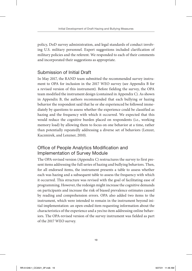policy, DoD survey administration, and legal standards of conduct involving U.S. military personnel. Expert suggestions included clarification of military policies and the referent. We responded to each of their comments and incorporated their suggestions as appropriate.

### Submission of Initial Draft

In May 2017, the RAND team submitted the recommended survey instrument to OPA for inclusion in the 2017 WEO survey (see Appendix B for a revised version of this instrument). Before fielding the survey, the OPA team modified the instrument design (contained in Appendix C). As shown in Appendix B, the authors recommended that each bullying or hazing behavior the respondent said that he or she experienced be followed immediately by questions to assess whether the experience could be classified as hazing and the frequency with which it occurred. We expected that this would reduce the cognitive burden placed on respondents (i.e., working memory load) by allowing them to focus on one behavior at a time, rather than potentially repeatedly addressing a diverse set of behaviors (Lenzer, Kaczmirek, and Lenzner, 2010).

### Office of People Analytics Modification and Implementation of Survey Module

The OPA-revised version (Appendix C) restructures the survey to first present items addressing the full series of hazing and bullying behaviors. Then, for all endorsed items, the instrument presents a table to assess whether each was hazing and a subsequent table to assess the frequency with which it occurred. This structure was revised with the goal of facilitating ease of programming. However, the redesign might increase the cognitive demands on participants and increase the risk of biased prevalence estimates caused by reading and comprehension errors. OPA also added two items to the instrument, which were intended to remain in the instrument beyond initial implementation: an open-ended item requesting information about the characteristics of the experience and a yes/no item addressing online behaviors. The OPA-revised version of the survey instrument was fielded as part of the 2017 WEO survey.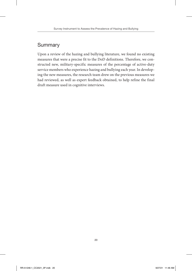### Summary

Upon a review of the hazing and bullying literature, we found no existing measures that were a precise fit to the DoD definitions. Therefore, we constructed new, military-specific measures of the percentage of active-duty service members who experience hazing and bullying each year. In developing the new measures, the research team drew on the previous measures we had reviewed, as well as expert feedback obtained, to help refine the final draft measure used in cognitive interviews.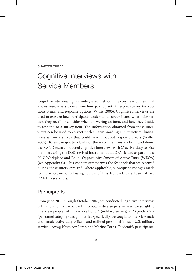#### CHAPTER THREE

# Cognitive Interviews with Service Members

Cognitive interviewing is a widely used method in survey development that allows researchers to examine how participants interpret survey instructions, items, and response options (Willis, 2005). Cognitive interviews are used to explore how participants understand survey items, what information they recall or consider when answering an item, and how they decide to respond to a survey item. The information obtained from these interviews can be used to correct unclear item wording and structural limitations within a survey that could have produced response errors (Willis, 2005). To ensure greater clarity of the instrument instructions and items, the RAND team conducted cognitive interviews with 27 active-duty service members using the DoD-revised instrument that OPA fielded as part of the 2017 Workplace and Equal Opportunity Survey of Active Duty (WEOA) (see Appendix C). This chapter summarizes the feedback that we received during these interviews and, where applicable, subsequent changes made to the instrument following review of this feedback by a team of five RAND researchers.

### **Participants**

From June 2018 through October 2018, we conducted cognitive interviews with a total of 27 participants. To obtain diverse perspectives, we sought to interview people within each cell of a 4 (military service)  $\times$  2 (gender)  $\times$  2 (personnel category) design matrix. Specifically, we sought to interview male and female active-duty officers and enlisted personnel in each U.S. military service—Army, Navy, Air Force, and Marine Corps. To identify participants,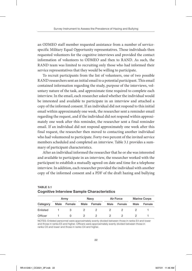an ODMEO staff member requested assistance from a number of servicespecific Military Equal Opportunity representatives. Those individuals then requested volunteers for the cognitive interviews and provided the contact information of volunteers to ODMEO and then to RAND. As such, the RAND team was limited to recruiting only those who had informed their service representatives that they would be willing to participate.

To recruit participants from the list of volunteers, one of two possible RAND researchers sent an initial email to a potential participant. This email contained information regarding the study, purpose of the interviews, voluntary nature of the task, and approximate time required to complete each interview. In the email, each researcher asked whether the individual would be interested and available to participate in an interview and attached a copy of the informed consent. If an individual did not respond to this initial email within approximately one week, the researcher sent a reminder email regarding the request, and if the individual did not respond within approximately one week after this reminder, the researcher sent a final reminder email. If an individual did not respond approximately one week after this final request, the researcher then moved to contacting another individual who had volunteered to participate. Forty-two percent of the invited service members scheduled and completed an interview. Table 3.1 provides a summary of participant characteristics.

After an individual informed the researcher that he or she was interested and available to participate in an interview, the researcher worked with the participant to establish a mutually agreed-on date and time for a telephone interview. In addition, each researcher provided the individual with another copy of the informed consent and a PDF of the draft hazing and bullying

|          | Army |        | Navy |        | Air Force |        | <b>Marine Corps</b> |        |
|----------|------|--------|------|--------|-----------|--------|---------------------|--------|
| Category | Male | Female | Male | Female | Male      | Female | Male                | Female |
| Enlisted |      |        |      |        |           |        |                     |        |
| Officer  |      |        |      |        |           |        |                     |        |

#### TABLE 3.1 Cognitive Interview Sample Characteristics

NOTES: Enlisted personnel were approximately evenly divided between those in ranks E4 and lower and those in ranks E5 and higher. Officers were approximately evenly divided between those in ranks O3 and lower and those in ranks O4 and higher.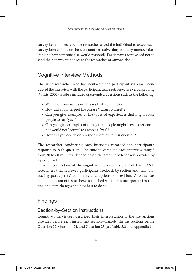survey items for review. The researcher asked the individual to assess each survey item as if he or she were another active-duty military member (i.e., imagine how someone else would respond). Participants were asked not to send their survey responses to the researcher or anyone else.

# Cognitive Interview Methods

The same researcher who had contacted the participant via email conducted the interview with the participant using retrospective verbal probing (Willis, 2005). Probes included open-ended questions such as the following:

- Were there any words or phrases that were unclear?
- How did you interpret the phrase "[target phrase]"?
- Can you give examples of the types of experiences that might cause people to say "yes"?
- Can you give examples of things that people might have experienced but would not "count" to answer a "yes"?
- How did you decide on a response option to this question?

The researcher conducting each interview recorded the participant's response to each question. The time to complete each interview ranged from 30 to 60 minutes, depending on the amount of feedback provided by a participant.

After completion of the cognitive interviews, a team of five RAND researchers then reviewed participants' feedback by section and item, discussing participants' comments and options for revision. A consensus among the team of researchers established whether to incorporate instruction and item changes and how best to do so.

# Findings

### Section-by-Section Instructions

Cognitive interviewees described their interpretation of the instructions provided before each instrument section—namely, the instructions before Question 22, Question 24, and Question 25 (see Table 3.2 and Appendix C).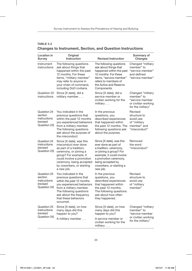| TABLE 3.2                                                        |  |  |
|------------------------------------------------------------------|--|--|
| <b>Changes to Instrument, Section, and Question Instructions</b> |  |  |

| Location in<br>Survey                                              | Original<br>Instruction                                                                                                                                                                                                             | <b>Revised Instruction</b>                                                                                                                                                                                               | Summary of<br>Changes                                                                          |
|--------------------------------------------------------------------|-------------------------------------------------------------------------------------------------------------------------------------------------------------------------------------------------------------------------------------|--------------------------------------------------------------------------------------------------------------------------------------------------------------------------------------------------------------------------|------------------------------------------------------------------------------------------------|
| Instrument<br>instructions                                         | The following questions<br>ask about things that<br>happened within the past<br>12 months. For these<br>items, "military member"<br>may refer to anyone in<br>your chain of command,<br>including DoD civilians.                    | The following questions<br>ask about things that<br>happened within the past<br>12 months. For these<br>items, "service member"<br>refers to members of<br>the Active and Reserve<br>Components.                         | Changed "military<br>member" to<br>"service member"<br>and defined<br>"service member"         |
| Question 22<br>instructions                                        | Since [X date], did a<br>military member                                                                                                                                                                                            | Since [X date], did a<br>service member or<br>civilian working for the<br>military                                                                                                                                       | Changed "military<br>member" to<br>"service member<br>or civilian working<br>for the military" |
| Question 24<br>section<br>instructions<br>(revised<br>Question 23) | You indicated in the<br>previous questions that<br>within the past 12 months<br>you experienced behaviors<br>from a military member.<br>The following questions<br>ask about the purpose of<br>the misconduct.                      | In the previous<br>questions, you<br>described experiences<br>that happened within<br>the past 12 months. The<br>following questions ask<br>about the purpose.                                                           | Revised<br>structure to<br>avoid use<br>of "military<br>member" and<br>"misconduct"            |
| Question 24<br>instructions<br>(revised<br>Question 23)            | Since [X date], was this<br>misconduct ever done<br>as part of a tradition,<br>ceremony, or joining a<br>group? For example, it<br>could involve a promotion<br>ceremony, being accepted<br>by coworkers, or starting<br>a new job. | Since [X date], was this<br>ever done as part of<br>a tradition, ceremony,<br>or joining a group? For<br>example, it could involve<br>a promotion ceremony,<br>being accepted by<br>coworkers, or starting a<br>new job. | Removed<br>the word<br>"misconduct"                                                            |
| Question 25<br>section<br>instructions<br>(revised<br>Question 24) | You indicated in the<br>previous questions that<br>within the past 12 months<br>you experienced behaviors<br>from a military member.<br>The following questions<br>ask about the frequency<br>that these behaviors<br>occurred.     | In the previous<br>questions, you<br>described experiences<br>that happened within<br>the past 12 months.<br>The following questions<br>ask about how often<br>they happened.                                            | Revised<br>structure to<br>avoid use<br>of "military<br>member"                                |
| Question 25<br>instructions<br>(revised<br>Question 24)            | Since [X date], on how<br>many days did this<br>happen to you?                                                                                                                                                                      | Since [X date], on how<br>many days did this<br>happen to you?                                                                                                                                                           | Changed "military<br>member" to<br>"service member                                             |
|                                                                    | A military member                                                                                                                                                                                                                   | A service member or<br>civilian working for the<br>military                                                                                                                                                              | or civilian working<br>for the military"                                                       |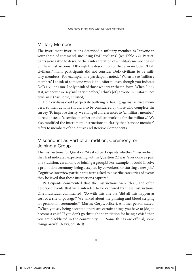# Military Member

The instrument instructions described a military member as "anyone in your chain of command, including DoD civilians" (see Table 3.2). Participants were asked to describe their interpretation of a military member based on these instructions. Although the description of the term included "DoD civilians," many participants did not consider DoD civilians to be military members. For example, one participant noted, "When I see 'military member,' I think of someone who is in uniform, even though you indicate DoD civilians too. I only think of those who wear the uniform. When I look at it, whenever we say 'military member,' I think [of] anyone in uniform, not civilians" (Air Force, enlisted).

DoD civilians could perpetrate bullying or hazing against service members, so their actions should also be considered by those who complete the survey. To improve clarity, we changed all references to "a military member" to read instead "a service member or civilian working for the military." We also modified the instrument instructions to clarify that "service member" refers to members of the Active and Reserve Components.

# Misconduct as Part of a Tradition, Ceremony, or Joining a Group

The instructions for Question 24 asked participants whether "misconduct" they had indicated experiencing within Question 22 was "ever done as part of a tradition, ceremony, or joining a group[.] For example, it could involve a promotion ceremony, being accepted by coworkers, or starting a new job." Cognitive interview participants were asked to describe categories of events they believed that these instructions captured.

Participants commented that the instructions were clear, and often described events that were intended to be captured by these instructions. One individual commented, "So with this one, it's 'did all this happen as sort of a rite of passage?' We talked about the pinning and blood striping for promotion ceremonies" (Marine Corps, officer). Another person stated, "When you say being accepted, there are certain things you have to [do] to become a chief. If you don't go through the initiation for being a chief, then you are blacklisted in the community. . . . Some things are official, some things aren't" (Navy, enlisted).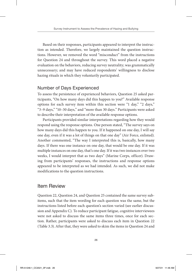Based on their responses, participants appeared to interpret the instruction as intended. Therefore, we largely maintained the question instructions. However, we removed the word "misconduct" from the instructions for Question 24 and throughout the survey. This word placed a negative evaluation on the behaviors, reducing survey neutrality; was grammatically unnecessary; and may have reduced respondents' willingness to disclose hazing rituals in which they voluntarily participated.

# Number of Days Experienced

To assess the persistence of experienced behaviors, Question 25 asked participants, "On how many days did this happen to you?" Available response options for each survey item within this section were "1 day," "2 days," "3–9 days," "10–30 days," and "more than 30 days." Participants were asked to describe their interpretation of the available response options.

Participants provided similar interpretations regarding how they would respond using the response options. One person stated, "The survey says on how many days did this happen to you. If it happened on one day, I will say one day, even if it was a lot of things on that one day" (Air Force, enlisted). Another commented, "The way I interpreted this is, basically, how many days. If there was one instance on one day, that would be one day. If it was multiple instances on one day, that's one day. If it was two instances over two weeks, I would interpret that as two days" (Marine Corps, officer). Drawing from participants' responses, the instructions and response options appeared to be interpreted as we had intended. As such, we did not make modifications to the question instructions.

# Item Review

Question 22, Question 24, and Question 25 contained the same survey subitems, such that the item wording for each question was the same, but the instructions listed before each question's section varied (see earlier discussion and Appendix C). To reduce participant fatigue, cognitive interviewees were not asked to discuss the same items three times, once for each section. Rather, participants were asked to discuss each item in Question 22 (Table 3.3). After that, they were asked to skim the items in Question 24 and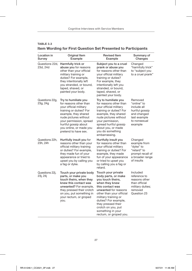| TABLE 3.3                                                            |  |
|----------------------------------------------------------------------|--|
| <b>Item Wording for First Question Set Presented to Participants</b> |  |

| Location in<br>Survey      | Original Item<br>Example                                                                                                                                                                                                                                   | <b>Revised Item</b><br>Example                                                                                                                                                                                                                                                                      | Summary of<br>Changes                                                                                             |
|----------------------------|------------------------------------------------------------------------------------------------------------------------------------------------------------------------------------------------------------------------------------------------------------|-----------------------------------------------------------------------------------------------------------------------------------------------------------------------------------------------------------------------------------------------------------------------------------------------------|-------------------------------------------------------------------------------------------------------------------|
| Questions 22d,<br>23d, 24d | Harmfully trick or<br>abuse you for reasons<br>other than your official<br>military training or<br>duties? For example,<br>they intentionally left<br>you stranded, or bound,<br>taped, shaved, or<br>painted your body.                                   | Subject you to a cruel<br>prank or abuse you<br>for reasons other than<br>your official military<br>training or duties?<br>For example, they<br>intentionally left you<br>stranded, or bound,<br>taped, shaved, or<br>painted your body.                                                            | Changed<br>"harmfully trick"<br>to "subject you<br>to a cruel prank"                                              |
| Questions 22g,<br>23g, 24g | Try to humiliate you<br>for reasons other than<br>vour official military<br>training or duties? For<br>example, they shared<br>nude pictures without<br>your permission, spread<br>hurtful gossip about<br>you online, or made you<br>pretend to have sex. | Try to humiliate you<br>for reasons other than<br>your official military<br>training or duties? For<br>example, they shared<br>nude pictures without<br>your permission,<br>spread hurtful gossip<br>about you, or made<br>you do something<br>embarrassing.                                        | Removed<br>"online" to<br>include all<br>hurtful gossip<br>and changed<br>last example<br>to nonsexual<br>example |
| Questions 22h,<br>23h, 24h | Hurtfully insult you for<br>reasons other than your<br>official military training<br>or duties? For example,<br>they made fun of your<br>appearance or tried to<br>upset you by calling you<br>a fag or dyke.                                              | Hurtfully insult you<br>for reasons other than<br>your official military<br>training or duties? For<br>example, they made<br>fun of your appearance<br>or tried to upset you<br>by calling you a fag or<br>retard.                                                                                  | Changed<br>example from<br>"dyke" to<br>"retard" to<br>prompt recall of<br>a broader range<br>of insults          |
| Questions 22j,<br>23j, 24j | Touch your private body<br>parts, or make you<br>touch theirs, when they<br>knew this contact was<br>unwanted? For example,<br>they pressed their crotch<br>on you, put something in<br>your rectum, or groped<br>you.                                     | Touch your private<br>body parts, or make<br>you touch theirs,<br>when they knew<br>this contact was<br>unwanted for reasons<br>other than your official<br>military training or<br>duties? For example,<br>they pressed their<br>crotch on you, put<br>something in your<br>rectum, or groped you. | Included<br>reference to<br>reasons other<br>than official<br>military duties;<br>removed<br>Question 23          |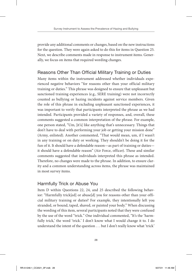provide any additional comments or changes, based on the new instructions for the question. They were again asked to do this for items in Question 25. Next, we describe comments made in response to instrument items. Generally, we focus on items that required wording changes.

# Reasons Other Than Official Military Training or Duties

Many items within the instrument addressed whether individuals experienced negative behaviors "for reasons other than your official military training or duties." This phrase was designed to ensure that unpleasant but sanctioned training experiences (e.g., SERE training) were not incorrectly counted as bullying or hazing incidents against service members. Given the role of this phrase in excluding unpleasant sanctioned experiences, it was important to verify that participants interpreted the phrase as we had intended. Participants provided a variety of responses, and, overall, these comments suggested a common interpretation of the phrase. For example, one person stated, "Um, [it's] like anything that's unnecessary. Things that don't have to deal with performing your job or getting your mission done" (Army, enlisted). Another commented, "That would mean, um, if I wasn't in any training or on duty or working. They shouldn't be doing it for the fun of it. It should have a defendable reason—as part of training or duties it should have a defendable reason" (Air Force, officer). These and similar comments suggested that individuals interpreted this phrase as intended. Therefore, no changes were made to the phrase. In addition, to ensure clarity and a common understanding across items, the phrase was maintained in most survey items.

# Harmfully Trick or Abuse You

Item D within Questions 22, 24, and 25 described the following behavior: "Harmfully trick[ed] or abuse[d] you for reasons other than your official military training or duties? For example, they intentionally left you stranded, or bound, taped, shaved, or painted your body." When discussing the wording of this item, several participants noted that they were confused by the use of the word "trick." One individual commented, "It's the 'harmfully trick,' the word 'trick.' I don't know what I would change it to. I do understand the intent of the question . . . but I don't really know what 'trick'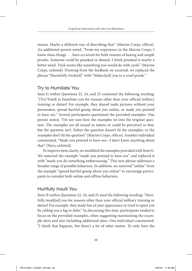means. Maybe a different way of describing that" (Marine Corps, officer). An additional person noted, "From my experience in the Marine Corps, I know these things . . . have occurred for both reasons of hazing and simple pranks. Someone could be pranked or abused. I think pranked is maybe a better word. Trick seems like something you would do with cards" (Marine Corps, enlisted). Drawing from the feedback we received, we replaced the phrase "Harmfully trick[ed]" with "Subject[ed] you to a cruel prank."

# Try to Humiliate You

Item G within Questions 22, 24, and 25 contained the following wording: "[Try/Tried] to humiliate you for reasons other than your official military training or duties? For example, they shared nude pictures without your permission, spread hurtful gossip about you online, or made you pretend to have sex." Several participants questioned the provided examples. One person stated, "I'm not sure how the examples tie into the original question. The examples are all sexual in nature or could be perceived as that, but the question isn't. Either the question doesn't fit the examples, or the examples don't fit the question" (Marine Corps, officer). Another individual commented, "Made you pretend to have sex—I don't know anything about that" (Navy, enlisted).

To improve item clarity, we modified the examples provided with Item G. We removed the example "made you pretend to have sex" and replaced it with "made you do something embarrassing." This new phrase addresses a broader range of possible behaviors. In addition, we removed "online" from the example "spread hurtful gossip about you online" to encourage participants to consider both online and offline behaviors.

# Hurtfully Insult You

Item H within Questions 22, 24, and 25 used the following wording: "Hurtfully insult[ed] you for reasons other than your official military training or duties? For example, they made fun of your appearance or tried to upset you by calling you a fag or dyke." In discussing this item, participants tended to focus on the provided examples, often suggesting maintaining the example slurs and also including additional slurs. One individual commented, "I think that happens, but there's a lot of other names. To only have the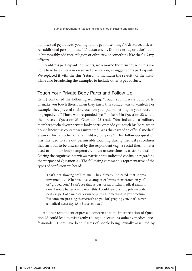homosexual pejoratives, you might only get those things" (Air Force, officer). An additional person noted, "It's accurate. . . . Don't take 'fag or dyke' out of it, but possibly add race, religion or ethnicity, or something like that" (Navy, officer).

To address participant comments, we removed the term "dyke." This was done to reduce emphasis on sexual orientation, as suggested by participants. We replaced it with the slur "retard" to maintain the severity of the insult while also broadening the examples to include other types of slurs.

# Touch Your Private Body Parts and Follow Up

Item J contained the following wording: "Touch your private body parts, or make you touch theirs, when they knew this contact was unwanted? For example, they pressed their crotch on you, put something in your rectum, or groped you." Those who responded "yes" to Item J in Question 22 would then receive Question 23. Question 23 read, "You indicated a military member touched your private body parts, or made you touch his/hers, when he/she knew this contact was unwanted. Was this part of an official medical exam or for [an]other official military purpose?" This follow-up question was intended to rule out permissible touching during medical procedures that turn out to be unwanted by the respondent (e.g., a rectal thermometer used to monitor body temperature of an unconscious heat-stroke victim). During the cognitive interviews, participants indicated confusion regarding the purpose of Question 23. The following comment is representative of the types of confusion we heard:

That's not flowing well to me. They already indicated that it was unwanted. . . . When you use examples of "press their crotch on you" or "groped you," I can't see that as part of an official medical exam. I don't know a better way to word this. I could see touching private body parts as part of a medical exam or putting something in your rectum. But someone pressing their crotch on you [or] groping you, that's never a medical necessity. (Air Force, enlisted)

Another respondent expressed concern that misinterpretation of Question 23 could lead to mistakenly ruling out sexual assaults by medical professionals: "There have been claims of people being sexually assaulted by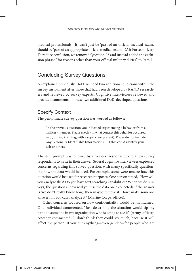medical professionals. [It] can't just be 'part of an official medical exam,' should be 'part of an appropriate official medical exam'" (Air Force, officer). To reduce confusion, we removed Question 23 and instead added the exclusion phrase "for reasons other than your official military duties" to Item J.

# Concluding Survey Questions

As explained previously, DoD included two additional questions within the survey instrument after those that had been developed by RAND researchers and reviewed by survey experts. Cognitive interviewees reviewed and provided comments on these two additional DoD-developed questions.

# Specify Context

The penultimate survey question was worded as follows:

In the previous question you indicated experiencing a behavior from a military member. Please specify in what context this behavior occurred (e.g., during training, with a supervisor present). Please do not include any Personally Identifiable Information (PII) that could identify yourself or others.

The item prompt was followed by a free-text response box to allow survey respondents to write in their answer. Several cognitive interviewees expressed concerns regarding this survey question, with many specifically questioning how the data would be used. For example, some were unsure how this question would be used for research purposes. One person stated, "How will you analyze this? Do you have text searching capabilities? When we do surveys, the question is how will you use the data once collected? If the answer is 'we don't really know how,' then maybe remove it. Don't make someone answer it if you can't analyze it" (Marine Corps, officer).

Other concerns focused on how confidentiality would be maintained. One individual commented, "Just describing the situation would tip my hand to someone in my organization who is going to see it" (Army, officer). Another commented, "I don't think they could say much, because it will affect the person. If you put anything—even gender—for people who are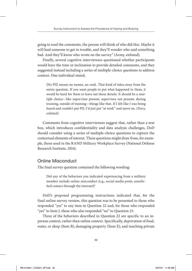going to read the comments, the person will think of who did this. Maybe it will lead someone to get in trouble, and they'll wonder who said something bad. And they'll know who wrote on the survey" (Army, enlisted).

Finally, several cognitive interviewees questioned whether participants would have the time or inclination to provide detailed comments, and they suggested instead including a series of multiple-choice questions to address context. One individual stated,

[No PII] means no names, no rank. That kind of takes away from the entire question. If you want people to put what happened to them, it would be hard for them to leave out those details. It should be a multiple choice—like supervisor present, supervisor not present; during training, outside of training—things like that. If I felt like I was being hazed and couldn't put PII, I'd just put "at work" and move on. (Navy, enlisted)

Comments from cognitive interviewees suggest that, rather than a text box, which introduces confidentiality and data analysis challenges, DoD should consider using a series of multiple-choice questions to capture the contextual elements of interest. These questions might draw from, for example, those used in the RAND Military Workplace Survey (National Defense Research Institute, 2014).

# Online Misconduct

The final survey question contained the following wording:

Did any of the behaviors you indicated experiencing from a military member include online misconduct (e.g., social media posts, unsolicited contact through the internet)?

DoD's proposed programming instructions indicated that, for the final online survey version, this question was to be presented to those who responded "yes" to any item in Question 22 and, for those who responded "yes" to Item J, those who also responded "no" to Question 23.

Three of the behaviors described in Question 22 are specific to an inperson context, rather than online context. Specifically, deprivation of food, water, or sleep (Item B); damaging property (Item E); and touching private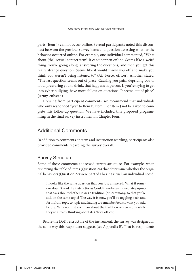parts (Item J) cannot occur online. Several participants noted this disconnect between the previous survey items and question assessing whether the behavior occurred online. For example, one individual commented, "What about [the] sexual contact item? It can't happen online. Seems like a weird thing. You're going along, answering the questions, and then you get this really strange question. Seems like it would throw you off and make you think you weren't being listened to" (Air Force, officer). Another stated, "The last question seems out of place. Causing you pain, depriving you of food, pressuring you to drink, that happens in person. If you're trying to get into cyber bullying, have more follow-on questions. It seems out of place" (Army, enlisted).

Drawing from participant comments, we recommend that individuals who only responded "yes" to Item B, Item E, or Item J not be asked to complete this follow-up question. We have included this proposed programming in the final survey instrument in Chapter Four.

# Additional Comments

In addition to comments on item and instruction wording, participants also provided comments regarding the survey overall.

# Survey Structure

Some of these comments addressed survey structure. For example, when reviewing the table of items (Question 24) that determine whether the original behaviors (Question 22) were part of a hazing ritual, an individual noted,

It looks like the same question that you just answered. What if someone doesn't read the instructions? Could there be an immediate pop-up that asks about whether it was a tradition [or] ceremony, so that you're still on the same topic? The way it is now, you'll be toggling back and forth from topic to topic and having to remember/revisit what you said before. Why not just ask them about the tradition or ceremony while they're already thinking about it? (Navy, officer)

Before the DoD restructure of the instrument, the survey was designed in the same way this respondent suggests (see Appendix B). That is, respondents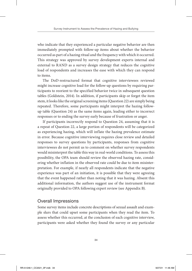who indicate that they experienced a particular negative behavior are then immediately prompted with follow-up items about whether the behavior occurred as part of a hazing ritual and the frequency with which it occurred. This strategy was approved by survey development experts internal and external to RAND as a survey design strategy that reduces the cognitive load of respondents and increases the ease with which they can respond to items.

The DoD-restructured format that cognitive interviewees reviewed might increase cognitive load for the follow‐up questions by requiring participants to reorient to the specified behavior twice in subsequent question tables (Goldstein, 2014). In addition, if participants skip or forget the item stem, it looks like the original screening items (Question 22) are simply being repeated. Therefore, some participants might interpret the hazing followup table (Question 24) as the same items again, leading either to incorrect responses or to ending the survey early because of frustration or anger.

If participants incorrectly respond to Question 24, assuming that it is a repeat of Question 22, a large portion of respondents will be categorized as experiencing hazing, which will inflate the hazing prevalence estimate in error. Because cognitive interviewing requires close review and detailed responses to survey questions by participants, responses from cognitive interviewees do not permit us to comment on whether survey respondents would misinterpret the table this way in real-world conditions. To assess this possibility, the OPA team should review the observed hazing rate, considering whether inflation in the observed rate could be due to item misinterpretation. For example, if nearly all respondents indicate that the negative experience was part of an initiation, it is possible that they were agreeing that the event happened rather than noting that it was hazing. Absent this additional information, the authors suggest use of the instrument format originally provided to OPA following expert review (see Appendix B).

# Overall Impressions

Some survey items include concrete descriptions of sexual assault and example slurs that could upset some participants when they read the item. To assess whether this occurred, at the conclusion of each cognitive interview, participants were asked whether they found the survey or any particular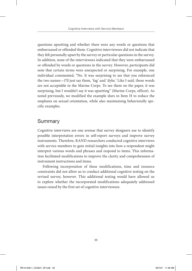questions upsetting and whether there were any words or questions that embarrassed or offended them. Cognitive interviewees did not indicate that they felt personally upset by the survey or particular questions in the survey. In addition, none of the interviewees indicated that they were embarrassed or offended by words or questions in the survey. However, participants did note that certain terms were unexpected or surprising. For example, one individual commented, "No. It was surprising to see that you referenced the two names—I'll just say them, 'fag' and 'dyke.' Like I said, those words are not acceptable in the Marine Corps. To see them on the paper, it was surprising, but I wouldn't say it was upsetting" (Marine Corps, officer). As noted previously, we modified the example slurs in Item H to reduce the emphasis on sexual orientation, while also maintaining behaviorally specific examples.

# **Summary**

Cognitive interviews are one avenue that survey designers use to identify possible interpretation errors in self-report surveys and improve survey instruments. Therefore, RAND researchers conducted cognitive interviews with service members to gain initial insights into how a respondent might interpret various words and phrases and respond to items. This information facilitated modifications to improve the clarity and comprehension of instrument instructions and items.

Following incorporation of these modifications, time and resource constraints did not allow us to conduct additional cognitive testing on the revised survey, however. This additional testing would have allowed us to explore whether the incorporated modifications adequately addressed issues raised by the first set of cognitive interviewees.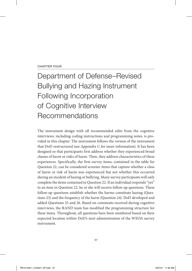#### CHAPTER FOUR

# Department of Defense–Revised Bullying and Hazing Instrument Following Incorporation of Cognitive Interview Recommendations

The instrument design with all recommended edits from the cognitive interviews, including coding instructions and programming notes, is provided in this chapter. The instrument follows the version of the instrument that DoD restructured (see Appendix C for more information). It has been designed so that participants first address whether they experienced broad classes of harm or risks of harm. Then, they address characteristics of these experiences. Specifically, the first survey items, contained in the table for Question 22, can be considered screener items that capture whether a class of harm or risk of harm was experienced but not whether this occurred during an incident of hazing or bullying. Many survey participants will only complete the items contained in Question 22. If an individual responds "yes" to an item in Question 22, he or she will receive follow-up questions. These follow-up questions establish whether the harms constitute hazing (Questions 23) and the frequency of the harm (Question 24). DoD developed and added Questions 25 and 26. Based on comments received during cognitive interviews, the RAND team has modified the programming structure for these items. Throughout, all questions have been numbered based on their expected location within DoD's next administration of the WEOA survey instrument.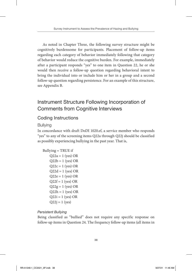As noted in Chapter Three, the following survey structure might be cognitively burdensome for participants. Placement of follow-up items regarding each category of behavior immediately following that category of behavior would reduce the cognitive burden. For example, immediately after a participant responds "yes" to one item in Question 22, he or she would then receive a follow-up question regarding behavioral intent to bring the individual into or include him or her in a group and a second follow-up question regarding persistence. For an example of this structure, see Appendix B.

# Instrument Structure Following Incorporation of Comments from Cognitive Interviews

# Coding Instructions

### Bullying

In concordance with draft DoDI 1020.ef, a service member who responds "yes" to any of the screening items Q22a through Q22j should be classified as possibly experiencing bullying in the past year. That is,

```
Bullying = TRUE if
Q22a = 1 (yes) OR
Q22b = 1 (yes) OR
Q22c = 1 (yes) OR
Q22d = 1 (yes) OR
Q22e = 1 (yes) OR
Q22f = 1 (yes) OR
Q22g = 1 (yes) OR
Q22h = 1 (yes) OR
Q22i = 1 (yes) OR
Q22j = 1 (yes)
```
#### *Persistent Bullying*

Being classified as "bullied" does not require any specific response on follow-up items in Question 24. The frequency follow-up items (all items in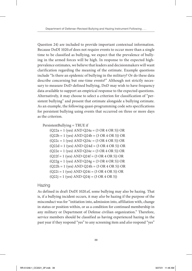Question 24) are included to provide important contextual information. Because DoDI 1020.ef does not require events to occur more than a single time to be classified as bullying, we expect that the prevalence of bullying in the armed forces will be high. In response to the expected highprevalence estimates, we believe that leaders and decisionmakers will want clarification regarding the meaning of the estimate. Example questions include "Is there an epidemic of bullying in the military? Or do these data describe concerning but one-time events?" Although not strictly necessary to measure DoD-defined bullying, DoD may wish to have frequency data available to support an empirical response to the expected questions. Alternatively, it may choose to select a criterion for classification of "persistent bullying" and present that estimate alongside a bullying estimate. As an example, the following quasi-programming code sets specifications for persistent bullying using events that occurred on three or more days as the criterion.

PersistentBullying = TRUE if

(Q22a = 1 (yes) AND Q24a = (3 OR 4 OR 5)) OR  $(Q22b = 1$  (yes) AND  $Q24b = (3 \text{ OR } 4 \text{ OR } 5)$ ) OR  $(Q22c = 1$  (yes) AND  $Q24c = (3 \text{ OR } 4 \text{ OR } 5)$ ) OR  $(Q22d = 1$  (yes) AND  $Q24d = (3 \text{ OR } 4 \text{ OR } 5)$ ) OR  $(Q22e = 1$  (yes) AND  $Q24e = (3 \text{ OR } 4 \text{ OR } 5)) \text{ OR }$  $(Q22f = 1$  (yes) AND  $Q24f = (3 \text{ OR } 4 \text{ OR } 5)) \text{ OR }$  $(Q22g = 1$  (yes) AND  $Q24g = (3 \text{ OR } 4 \text{ OR } 5)) \text{ OR }$  $(Q22h = 1$  (yes) AND  $Q24h = (3 \text{ OR } 4 \text{ OR } 5)) \text{ OR }$  $(Q22i = 1$  (yes) AND  $Q24i = (3 \text{ OR } 4 \text{ OR } 5)$ ) OR  $(Q22j = 1$  (yes) AND  $Q24j = (3 \text{ OR } 4 \text{ OR } 5))$ 

#### Hazing

As defined in draft DoDI 1020.ef, some bullying may also be hazing. That is, if a bullying incident occurs, it may *also* be hazing if the purpose of the misconduct was for "initiation into, admission into, affiliation with, change in status or position within, or as a condition for continued membership in any military or Department of Defense civilian organization." Therefore, service members should be classified as having experienced hazing in the past year if they respond "yes" to any screening item and *also* respond "yes"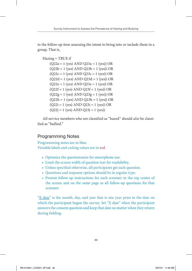to the follow-up item assessing the intent to bring into or include them in a group. That is,

Hazing = TRUE if

(Q22a = 1 (yes) AND Q23a = 1 (yes)) OR  $(Q22b = 1$  (yes) AND  $Q23b = 1$  (yes)) OR  $(Q22c = 1$  (yes) AND  $Q23c = 1$  (yes)) OR  $(Q22d = 1$  (yes) AND  $Q23d = 1$  (yes)) OR  $(Q22e = 1$  (yes) AND  $Q23e = 1$  (yes)) OR  $(Q22f = 1$  (yes) AND  $Q23f = 1$  (yes)) OR  $(Q22g = 1$  (yes) AND  $Q23g = 1$  (yes)) OR  $(Q22h = 1$  (yes) AND  $Q23h = 1$  (yes)) OR  $(Q22i = 1$  (yes) AND  $Q23i = 1$  (yes)) OR  $(Q22j = 1$  (yes) AND  $Q23j = 1$  (yes))

All service members who are classified as "hazed" should *also* be classified as "bullied."

# Programming Notes

Programming notes are in blue. Variable labels and coding values are in red.

- Optimize the questionnaire for smartphone use.
- Limit the screen width of question text for readability.
- Unless specified otherwise, all participants get each question.
- Questions and response options should be in regular type.
- Present follow-up instructions for each screener in the top center of the screen and on the same page as all follow-up questions for that screener.

" $X$  date" is the month, day, and year that is one year prior to the date on which the participant began the survey. Set "X date" when the participant answers the consent question and keep that date no matter when they return during fielding.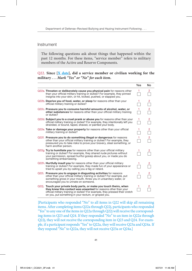#### Instrument

The following questions ask about things that happened within the past 12 months. For these items, "service member" refers to military members of the Active and Reserve Components.

Q22. **Since [X date], did a service member or civilian working for the military . . .** *Mark "Yes" or "No" for each item.*

|                                                                                                                                                                                                                                                                                | Yes | No             |
|--------------------------------------------------------------------------------------------------------------------------------------------------------------------------------------------------------------------------------------------------------------------------------|-----|----------------|
| Q22a. Threaten or deliberately cause you physical pain for reasons other<br>than your official military training or duties? For example, they pinned<br>insignia into your skin, or hit, kicked, pushed, or slapped you.                                                       | 1   | $\overline{2}$ |
| Q22b. Deprive you of food, water, or sleep for reasons other than your<br>official military training or duties?                                                                                                                                                                | 1.  | 2              |
| Q22c. Pressure you to consume harmful amounts of alcohol, water, or<br>other substances for reasons other than your official military training<br>or duties?                                                                                                                   |     | 2              |
| Q22d. Subject you to a cruel prank or abuse you for reasons other than your<br>official military training or duties? For example, they intentionally left you<br>stranded, or bound, taped, shaved, or painted your body.                                                      | 1   | 2              |
| Q22e. Take or damage your property for reasons other than your official<br>military training or duties?                                                                                                                                                                        | 1.  | 2              |
| Q22f. Pressure you to do something illegal or dangerous for reasons<br>other than your official military training or duties? For example, they<br>pressured you to take risks to prove your bravery, steal something, or<br>harm another person.                               |     | 2              |
| Q22q. Try to humiliate you for reasons other than your official military<br>training or duties? For example, they shared nude pictures without<br>your permission, spread hurtful gossip about you, or made you do<br>something embarrassing.                                  |     | 2              |
| Q22h. Hurtfully insult you for reasons other than your official military<br>training or duties? For example, they made fun of your appearance or<br>tried to upset you by calling you a fag or retard.                                                                         |     |                |
| Q22. Pressure you to engage in disgusting activities for reasons<br>other than your official military training or duties? For example, put<br>something gross in your mouth, threw you in unsanitary water, or<br>encouraged you to urinate on someone.                        |     | 2              |
| Q22j. Touch your private body parts, or make you touch theirs, when<br>they knew this contact was unwanted for reasons other than your<br>official military training or duties? For example, they pressed their crotch<br>on you, put something in your rectum, or groped you. |     |                |

[Participants who responded "No" to all items in Q22 will skip all remaining items. After completing items Q22a through Q22j, participants who responded "Yes" to any one of the items in Q22a through Q22j will receive the corresponding items in Q23 and Q24. If they responded "No" to an item in Q22a through Q22j, they will not receive the corresponding item in Q23 and Q24. For example, if a participant responds "Yes" to Q22a, they will receive Q23a and Q24a. If they respond "No" to Q22a, they will not receive Q23a or Q24a.]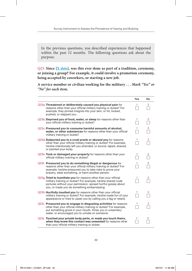In the previous questions, you described experiences that happened within the past 12 months. The following questions ask about the purpose.

Q23. **Since [X date], was this ever done as part of a tradition, ceremony, or joining a group? For example, it could involve a promotion ceremony, being accepted by coworkers, or starting a new job.**

**A service member or civilian working for the military . . .** *Mark "Yes" or "No" for each item.*

|                                                                                                                                                                                                                                                           | Yes | No             |
|-----------------------------------------------------------------------------------------------------------------------------------------------------------------------------------------------------------------------------------------------------------|-----|----------------|
| Q23a. Threatened or deliberately caused you physical pain for<br>reasons other than your official military training or duties? For<br>example, they pinned insignia into your skin, or hit, kicked,<br>pushed, or slapped you.                            | 1   | $\overline{2}$ |
| Q23b. Deprived you of food, water, or sleep for reasons other than<br>your official military training or duties?                                                                                                                                          | 1.  |                |
| Q23c. Pressured you to consume harmful amounts of alcohol,<br>water, or other substances for reasons other than your official<br>military training or duties?                                                                                             |     |                |
| Q23d. Subjected you to a cruel prank or abused you for reasons<br>other than your official military training or duties? For example,<br>he/she intentionally left you stranded, or bound, taped, shaved,<br>or painted your body.                         | 1   |                |
| Q23e. Took or damaged your property for reasons other than your<br>official military training or duties?                                                                                                                                                  |     |                |
| Q23f. Pressured you to do something illegal or dangerous for<br>reasons other than your official military training or duties? For<br>example, he/she pressured you to take risks to prove your<br>bravery, steal something, or harm another person.       |     |                |
| Q23g. Tried to humiliate you for reasons other than your official<br>military training or duties? For example, he/she shared nude<br>pictures without your permission, spread hurtful gossip about<br>you, or made you do something embarrassing.         |     | 2              |
| Q23h. Hurtfully insulted you for reasons other than your official<br>military training or duties? For example, he/she made fun of your<br>appearance or tried to upset you by calling you a fag or retard.                                                |     |                |
| Q23i. Pressured you to engage in disgusting activities for reasons<br>other than your official military training or duties? For example,<br>put something gross in your mouth, threw you in unsanitary<br>water, or encouraged you to urinate on someone. | 1.  | 2              |
| Q23. Touched your private body parts, or made you touch theirs,<br>when they knew this contact was unwanted for reasons other<br>than your official military training or duties.                                                                          | 1   |                |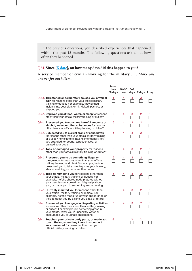In the previous questions, you described experiences that happened within the past 12 months. The following questions ask about how often they happened.

#### Q24. **Since [X date], on how many days did this happen to you?**

#### **A service member or civilian working for the military . . .** *Mark one answer for each item.*

|                                                                                                                                                                                                                                                              | More<br>than<br>30 days | 10-30<br>days | $3 - 9$ | days 2 days 1 day |    |
|--------------------------------------------------------------------------------------------------------------------------------------------------------------------------------------------------------------------------------------------------------------|-------------------------|---------------|---------|-------------------|----|
| Q24a. Threatened or deliberately caused you physical<br>pain for reasons other than your official military<br>training or duties? For example, they pinned<br>insignia into your skin, or hit, kicked, pushed, or<br>slapped you.                            | 5                       | 4             | 3       |                   | 1. |
| Q24b. Deprived you of food, water, or sleep for reasons<br>other than your official military training or duties?                                                                                                                                             | 5                       |               |         |                   |    |
| Q24c. Pressured you to consume harmful amounts of<br>alcohol, water, or other substances for reasons<br>other than your official military training or duties?                                                                                                | 5                       |               | 3       |                   |    |
| Q24d. Subjected you to a cruel prank or abused you<br>for reasons other than your official military training<br>or duties? For example, he/she intentionally left<br>you stranded, or bound, taped, shaved, or<br>painted your body.                         | 5                       |               | 3       | 2                 |    |
| Q24e. Took or damaged your property for reasons<br>other than your official military training or duties?                                                                                                                                                     | 5                       |               |         |                   |    |
| Q24f. Pressured you to do something illegal or<br>dangerous for reasons other than your official<br>military training or duties? For example, he/she<br>pressured you to take risks to prove your bravery,<br>steal something, or harm another person.       | 5                       |               | 3       |                   |    |
| Q24g. Tried to humiliate you for reasons other than<br>your official military training or duties? For<br>example, he/she shared nude pictures without<br>your permission, spread hurtful gossip about<br>you, or made you do something embarrassing.         | 5                       |               | 3       |                   |    |
| Q24h. Hurtfully insulted you for reasons other than<br>your official military training or duties? For<br>example, he/she made fun of your appearance or<br>tried to upset you by calling you a fag or retard.                                                | 5                       |               |         |                   |    |
| Q24i. Pressured you to engage in disgusting activities<br>for reasons other than your official military training<br>or duties? For example, put something gross in<br>your mouth, threw you in unsanitary water, or<br>encouraged you to urinate on someone. | 5                       |               |         |                   |    |
| Q24j. Touched your private body parts, or made you<br>touch theirs, when they knew this contact<br>was unwanted for reasons other than your<br>official military training or duties.                                                                         | 5                       |               |         |                   |    |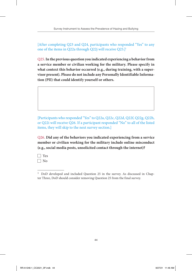[After completing Q23 and Q24, participants who responded "Yes" to any one of the items in Q22a through Q22j will receive Q25.]1

Q25. **In the previous question you indicated experiencing a behavior from a service member or civilian working for the military. Please specify in what context this behavior occurred (e.g., during training, with a supervisor present). Please do not include any Personally Identifiable Information (PII) that could identify yourself or others.**

[Participants who responded "Yes" to Q22a, Q22c, Q22d, Q22f, Q22g, Q22h, or Q22i will receive Q26. If a participant responded "No" to all of the listed items, they will skip to the next survey section.]

Q26. **Did any of the behaviors you indicated experiencing from a service member or civilian working for the military include online misconduct (e.g., social media posts, unsolicited contact through the internet)?**

Yes No

<sup>&</sup>lt;sup>1</sup> DoD developed and included Question 25 in the survey. As discussed in Chapter Three, DoD should consider removing Question 25 from the final survey.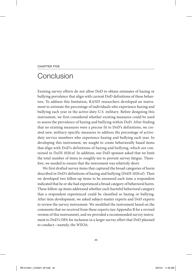#### CHAPTER FIVE

# Conclusion

Existing survey efforts do not allow DoD to obtain estimates of hazing or bullying prevalence that align with current DoD definitions of these behaviors. To address this limitation, RAND researchers developed an instrument to estimate the percentage of individuals who experience hazing and bullying each year in the active-duty U.S. military. Before designing this instrument, we first considered whether existing measures could be used to assess the prevalence of hazing and bullying within DoD. After finding that no existing measures were a precise fit to DoD's definitions, we created new, military-specific measures to address the percentage of activeduty service members who experience hazing and bullying each year. In developing this instrument, we sought to create behaviorally based items that align with DoD's definitions of hazing and bullying, which are contained in DoDI 1020.ef. In addition, our DoD sponsor asked that we limit the total number of items to roughly ten to prevent survey fatigue. Therefore, we needed to ensure that the instrument was relatively short.

We first drafted survey items that captured the broad categories of harm described in DoD's definitions of hazing and bullying (DoDI 1020.ef). Then we developed two follow-up items to be answered each time a respondent indicated that he or she had experienced a broad category of behavioral harm. These follow-up items addressed whether each harmful behavioral category that a respondent experienced could be classified as hazing or bullying. After item development, we asked subject-matter experts and DoD experts to review the survey instrument. We modified the instrument based on the comments that we received from these experts (see Appendix B for a revised version of this instrument), and we provided a recommended survey instrument to DoD's OPA for inclusion in a larger survey effort that DoD planned to conduct—namely, the WEOA.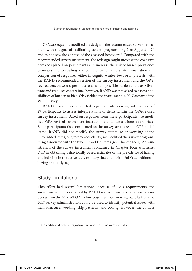OPA subsequently modified the design of the recommended survey instrument with the goal of facilitating ease of programming (see Appendix C) and to address the context of the assessed behaviors.<sup>1</sup> Compared with the recommended survey instrument, the redesign might increase the cognitive demands placed on participants and increase the risk of biased prevalence estimates due to reading and comprehension errors. Administration and comparison of responses, either in cognitive interviews or in pretests, with the RAND-recommended version of the survey instrument and the OPArevised version would permit assessment of possible burden and bias. Given time and resource constraints, however, RAND was not asked to assess possibilities of burden or bias. OPA fielded the instrument in 2017 as part of the WEO survey.

RAND researchers conducted cognitive interviewing with a total of 27 participants to assess interpretations of items within the OPA-revised survey instrument. Based on responses from these participants, we modified OPA-revised instrument instructions and items where appropriate. Some participants also commented on the survey structure and OPA-added items. RAND did not modify the survey structure or wording of the OPA-added items, but, to promote clarity, we modified the survey programming associated with the two OPA-added items (see Chapter Four). Administration of the survey instrument contained in Chapter Four will assist DoD in obtaining behaviorally based estimates of the prevalence of hazing and bullying in the active-duty military that align with DoD's definitions of hazing and bullying.

# Study Limitations

This effort had several limitations. Because of DoD requirements, the survey instrument developed by RAND was administered to service members within the 2017 WEOA, before cognitive interviewing. Results from the 2017 survey administration could be used to identify potential issues with item structure, wording, skip patterns, and coding. However, the authors

 $^{\rm 1}~$  No additional details regarding the modifications were available.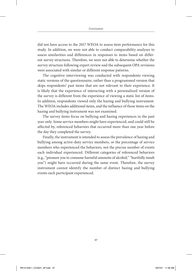did not have access to the 2017 WEOA to assess item performance for this study. In addition, we were not able to conduct comparability analyses to assess similarities and differences in responses to items based on different survey structures. Therefore, we were not able to determine whether the survey structure following expert review and the subsequent OPA revisions were associated with similar or different response patterns.

The cognitive interviewing was conducted with respondents viewing static versions of the questionnaire, rather than a programmed version that skips respondents' past items that are not relevant to their experience. It is likely that the experience of interacting with a personalized version of the survey is different from the experience of viewing a static list of items. In addition, respondents viewed only the hazing and bullying instrument. The WEOA includes additional items, and the influence of those items on the hazing and bullying instrument was not examined.

The survey items focus on bullying and hazing experiences in the past year only. Some service members might have experienced, and could still be affected by, referenced behaviors that occurred more than one year before the day they completed the survey.

Finally, the instrument is intended to assess the prevalence of hazing and bullying among active-duty service members, or the percentage of service members who experienced the behaviors, not the precise number of events each individual experienced. Different categories of referenced behaviors (e.g., "pressure you to consume harmful amounts of alcohol," "hurtfully insult you") might have occurred during the same event. Therefore, the survey instrument cannot identify the number of distinct hazing and bullying events each participant experienced.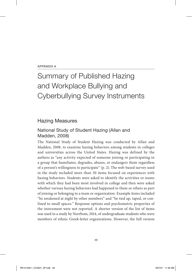#### APPENDIX A

# Summary of Published Hazing and Workplace Bullying and Cyberbullying Survey Instruments

### Hazing Measures

### National Study of Student Hazing (Allan and Madden, 2008)

The National Study of Student Hazing was conducted by Allan and Madden, 2008, to examine hazing behaviors among students in colleges and universities across the United States. Hazing was defined by the authors as "any activity expected of someone joining or participating in a group that humiliates, degrades, abuses, or endangers them regardless of a person's willingness to participate" (p. 2). The web-based survey used in the study included more than 30 items focused on experiences with hazing behaviors. Students were asked to identify the activities or teams with which they had been most involved in college and then were asked whether various hazing behaviors had happened to them or others as part of joining or belonging to a team or organization. Example items included "be awakened at night by other members" and "be tied up, taped, or confined to small spaces." Response options and psychometric properties of the instrument were not reported. A shorter version of the list of items was used in a study by Norrbom, 2014, of undergraduate students who were members of ethnic Greek-letter organizations. However, the full version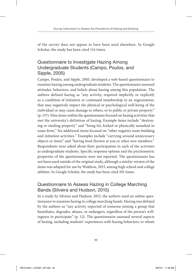of the survey does not appear to have been used elsewhere. In Google Scholar, the study has been cited 114 times.

# Questionnaire to Investigate Hazing Among Undergraduate Students (Campo, Poulos, and Sipple, 2005)

Campo, Poulos, and Sipple, 2005, developed a web-based questionnaire to examine hazing among undergraduate students. The questionnaire assessed attitudes, behaviors, and beliefs about hazing among this population. The authors defined hazing as "any activity, required implicitly or explicitly as a condition of initiation or continued membership in an organization, that may negatively impact the physical or psychological well-being of the individual or may cause damage to others, or to public or private property" (p. 137). Nine items within the questionnaire focused on hazing activities that met the university's definition of hazing. Example items include "destroying or stealing property" and "being hit, kicked or physically assaulted in some form." Six additional items focused on "other negative team-building and initiation activities." Examples include "carrying around unnecessary objects or items" and "having food thrown at you or other new members." Respondents were asked about their participation in each of the activities as undergraduate students. Specific response options and the psychometric properties of the questionnaire were not reported. The questionnaire has not been used outside of the original study, although a similar version of the items was adapted for use by Waldron, 2015, among high school and college athletes. In Google Scholar, the study has been cited 105 times.

# Questionnaire to Assess Hazing in College Marching Bands (Silveira and Hudson, 2015)

In a study by Silveira and Hudson, 2015, the authors used an online questionnaire to examine hazing in college marching bands. Hazing was defined by the authors as "any activity expected of someone joining a group that humiliates, degrades, abuses, or endangers, regardless of the person's willingness to participate" (p. 12). The questionnaire assessed several aspects of hazing, including students' experiences with hazing behaviors, to whom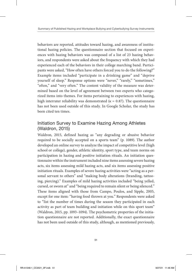behaviors are reported, attitudes toward hazing, and awareness of institutional hazing policies. The questionnaire section that focused on experiences with hazing behaviors was composed of a list of 23 hazing behaviors, and respondents were asked about the frequency with which they had experienced each of the behaviors in their college marching band. Participants were asked, "How often have others forced you to do the following?" Example items included "participate in a drinking game" and "deprive yourself of sleep." Response options were "never," "rarely," "sometimes," "often," and "very often." The content validity of the measure was determined based on the level of agreement between two experts who categorized items into themes. For items pertaining to experiences with hazing, high interrater reliability was demonstrated ( $\kappa = 0.87$ ). The questionnaire has not been used outside of this study. In Google Scholar, the study has been cited ten times.

## Initiation Survey to Examine Hazing Among Athletes (Waldron, 2015)

Waldron, 2015, defined hazing as "any degrading or abusive behavior required to be socially accepted on a sports team" (p. 1089). The author developed an online survey to analyze the impact of competitive level (high school or college), gender, athletic identity, sport type, and team norms on participation in hazing and positive initiation rituals. An initiation questionnaire within the instrument included nine items assessing severe hazing acts, six items assessing mild hazing acts, and six items assessing positive initiation rituals. Examples of severe hazing activities were "acting as a personal servant to others" and "making body alterations (branding, tattooing, piercing)." Examples of mild hazing activities included "being yelled, cursed, or sworn at" and "being required to remain silent or being silenced." These items aligned with those from Campo, Poulos, and Sipple, 2005, except for one item: "having food thrown at you." Respondents were asked to "list the number of times during the season they participated in each activity as part of team building and initiation while on this sport team" (Waldron, 2015, pp. 1093–1094). The psychometric properties of the initiation questionnaire are not reported. Additionally, the exact questionnaire has not been used outside of this study, although, as mentioned previously,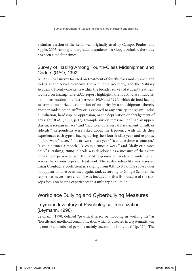a similar version of the items was originally used by Campo, Poulos, and Sipple, 2005, among undergraduate students. In Google Scholar, the study has been cited four times.

# Survey of Hazing Among Fourth-Class Midshipmen and Cadets (GAO, 1992)

A 1990 GAO survey focused on treatment of fourth-class midshipmen and cadets at the Naval Academy, the Air Force Academy, and the Military Academy. Twenty-one items within the broader survey of student treatment focused on hazing. The GAO report highlights the fourth-class indoctrination instruction in effect between 1989 and 1990, which defined hazing as "any unauthorized assumption of authority by a midshipman whereby another midshipman suffers or is exposed to any cruelty, indignity, undue humiliation, hardship, or oppression, or the deprivation or abridgement of any right" (GAO, 1992, p. 13). Example survey items include "had an upperclassman scream in face" and "had to endure verbal harassment, insult, or ridicule." Respondents were asked about the frequency with which they experienced each type of hazing during their fourth-class year, and response options were "never," "one or two times a year," "a couple times a semester," "a couple times a month," "a couple times a week," and "daily or almost daily" (Pershing, 2006). A scale was developed as a measure of the extent of hazing experiences, which totaled responses of cadets and midshipmen across the various types of treatment. The scale's reliability was assessed using Cronbach's coefficient *α*, ranging from 0.84 to 0.87. The survey does not appear to have been used again, and, according to Google Scholar, the report has never been cited. It was included in this list because of the survey's focus on hazing experiences in a military population.

# Workplace Bullying and Cyberbullying Measures

# Leymann Inventory of Psychological Terrorization (Leymann, 1990)

Leymann, 1990, defined "psychical terror or mobbing in working life" as "hostile and unethical communication which is directed in a systematic way by one or a number of persons mainly toward one individual" (p. 120). The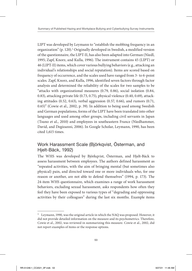LIPT was developed by Leymann to "establish the mobbing frequency in an organization" (p. 120).<sup>1</sup> Originally developed in Swedish, a modified version of the questionnaire, the LIPT-II, has also been adapted into German (Niedl, 1995; Zapf, Knorz, and Kulla, 1996). The instrument contains 45 (LIPT) or 46 (LIPT-II) items, which cover various bullying behaviors (e.g., attacking an individual's relationships and social reputation). Items are scored based on frequency of occurrence, and the scales used have ranged from 3- to 6-point scales. Zapf, Knorz, and Kulla, 1996, identified seven factors through factor analysis and determined the reliability of the scales for two samples to be "attacks with organizational measures (0.79, 0.86), social isolation (0.84, 0.83), attacking private life (0.73, 0.75), physical violence (0.40, 0.69), attacking attitudes (0.52, 0.63), verbal aggression (0.57, 0.66), and rumors (0.71, 0.65)" (Cowie et al., 2002, p. 39). In addition to being used among Swedish and German populations, forms of the LIPT have been translated into other languages and used among other groups, including civil servants in Japan (Tsuno et al., 2010) and employees in southeastern France (Niedhammer, David, and Degioanni, 2006). In Google Scholar, Leymann, 1990, has been cited 1,615 times.

# Work Harassment Scale (Björkqvist, Österman, and Hjelt-Bäck, 1992)

The WHS was developed by Björkqvist, Österman, and Hjelt-Bäck to assess harassment between employees. The authors defined harassment as "repeated activities, with the aim of bringing mental (but sometimes also physical) pain, and directed toward one or more individuals who, for one reason or another, are not able to defend themselves" (1994, p. 173). The 24-item WHS questionnaire, which examines a range of work harassment behaviors, excluding sexual harassment, asks respondents how often they feel they have been exposed to various types of "degrading and oppressing activities by their colleagues" during the last six months. Example items

 $^1$  Leymann, 1990, was the original article in which the NAQ was proposed. However, it did not provide detailed information on the measure and its psychometrics. Therefore, Cowie et al., 2002, was reviewed in summarizing this measure. Cowie et al., 2002, did not report examples of items or the response options.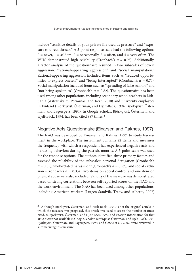include "sensitive details of your private life used as pressure" and "exposure to direct threats." A 5-point response scale had the following options:  $0 =$  never,  $1 =$  seldom,  $2 =$  occasionally,  $3 =$  often, and  $4 =$  very often. The WHS demonstrated high reliability (Cronbach's *α* = 0.95). Additionally, a factor analysis of the questionnaire resulted in two subscales of covert aggression: "rational-appearing aggression" and "social manipulation." Rational-appearing aggression included items such as "reduced opportunities to express oneself" and "being interrupted" (Cronbach's  $\alpha = 0.70$ ). Social manipulation included items such as "spreading of false rumors" and "not being spoken to" (Cronbach's  $\alpha = 0.82$ ). The questionnaire has been used among other populations, including secondary school teachers in Lithuania (Astrauskaitė, Perminas, and Kern, 2010) and university employees in Finland (Björkqvist, Österman, and Hjelt-Bäck, 1994; Björkqvist, Österman, and Lagerspetz, 1994). In Google Scholar, Björkqvist, Österman, and Hjelt-Bäck, 1994, has been cited 987 times.<sup>2</sup>

### Negative Acts Questionnaire (Einarsen and Raknes, 1997)

The NAQ was developed by Einarsen and Raknes, 1997, to study harassment in the workplace. The instrument contains 22 items and measures the frequency with which a respondent has experienced negative acts and harassing behaviors during the past six months. A 5-point scale was used for the response options. The authors identified three primary factors and assessed the reliability of the subscales: personal derogation (Cronbach's  $\alpha$  = 0.85), work-related harassment (Cronbach's  $\alpha$  = 0.57), and social exclusion (Cronbach's  $\alpha$  = 0.33). Two items on social control and one item on physical abuse were also included. Validity of the measure was demonstrated based on strong correlations between self-reported scores on the NAQ and the work environment. The NAQ has been used among other populations, including American workers (Lutgen-Sandvik, Tracy, and Alberts, 2007)

<sup>&</sup>lt;sup>2</sup> Although Björkqvist, Österman, and Hjelt-Bäck, 1994, is not the original article in which the measure was proposed, this article was used to assess the number of times cited, as Björkqvist, Österman, and Hjelt-Bäck, 1992, and citation information for that article were not available in Google Scholar. Björkqvist, Österman, and Hjelt-Bäck, 1994; Björkqvist, Österman, and Lagerspetz, 1994; and Cowie et al., 2002, were reviewed in summarizing this measure.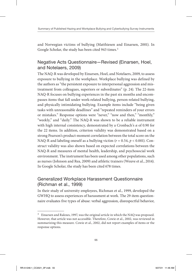and Norwegian victims of bullying (Matthiesen and Einarsen, 2001). In Google Scholar, the study has been cited 943 times.<sup>3</sup>

### Negative Acts Questionnaire—Revised (Einarsen, Hoel, and Notelaers, 2009)

The NAQ-R was developed by Einarsen, Hoel, and Notelaers, 2009, to assess exposure to bullying in the workplace. Workplace bullying was defined by the authors as "the persistent exposure to interpersonal aggression and mistreatment from colleagues, superiors or subordinates" (p. 24). The 22-item NAQ-R focuses on bullying experiences in the past six months and encompasses items that fall under work-related bullying, person-related bullying, and physically intimidating bullying. Example items include "being given tasks with unreasonable deadlines" and "repeated reminders of your errors or mistakes." Response options were "never," "now and then," "monthly," "weekly," and "daily." The NAQ-R was shown to be a reliable instrument with high internal consistency, demonstrated by a Cronbach's *α* of 0.90 for the 22 items. In addition, criterion validity was demonstrated based on a strong Pearson's product-moment correlation between the total score on the NAQ-R and labeling oneself as a bullying victim  $(r = 0.54, p < 0.001)$ . Construct validity was also shown based on expected correlations between the NAQ-R and measures of mental health, leadership, and psychosocial work environment. The instrument has been used among other populations, such as nurses (Johnson and Rea, 2009) and athletic trainers (Weuve et al., 2014). In Google Scholar, the study has been cited 678 times.

### Generalized Workplace Harassment Questionnaire (Richman et al., 1999)

In their study of university employees, Richman et al., 1999, developed the GWHQ to assess experiences of harassment at work. The 29-item questionnaire evaluates five types of abuse: verbal aggression, disrespectful behavior,

 $^3$  Einarsen and Raknes, 1997, was the original article in which the NAQ was proposed. However, that article was not accessible. Therefore, Cowie et al., 2002, was reviewed in summarizing this measure. Cowie et al., 2002, did not report examples of items or the response options.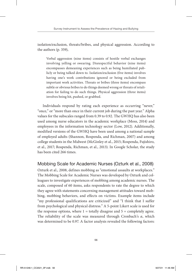isolation/exclusion, threats/bribes, and physical aggression. According to the authors (p. 359),

Verbal aggression (nine items) consists of hostile verbal exchanges involving yelling or swearing. Disrespectful behavior (nine items) encompasses demeaning experiences such as being humiliated publicly or being talked down to. Isolation/exclusion (five items) involves having one's work contributions ignored or being excluded from important work activities. Threats or bribes (three items) encompass subtle or obvious bribes to do things deemed wrong or threats of retaliation for failing to do such things. Physical aggression (three items) involves being hit, pushed, or grabbed.

Individuals respond by rating each experience as occurring "never," "once," or "more than once in their current job during the past year." Alpha values for the subscales ranged from 0.39 to 0.92. The GWHQ has also been used among nurse educators in the academic workplace (Moss, 2014) and employees in the information technology sector (Low, 2012). Additionally, modified versions of the GWHQ have been used among a national sample of employed adults (Shannon, Rospenda, and Richman, 2007) and among college students in the Midwest (McGinley et al., 2015; Rospenda, Fujishiro, et al., 2017; Rospenda, Richman, et al., 2013). In Google Scholar, the study has been cited 266 times.

Mobbing Scale for Academic Nurses (Ozturk et al., 2008)

Ozturk et al., 2008, defines mobbing as "emotional assaults at workplaces." The Mobbing Scale for Academic Nurses was developed by Ozturk and colleagues to investigate experiences of mobbing among academic nurses. The scale, composed of 60 items, asks respondents to rate the degree to which they agree with statements concerning management attitudes toward mobbing, mobbing behaviors, and effects on victims. Example items include "my professional qualifications are criticized" and "I think that I suffer from psychological and physical distress." A 5-point Likert scale is used for the response options, where  $1 =$  totally disagree and  $5 =$  completely agree. The reliability of the scale was measured through Cronbach's *α*, which was determined to be 0.97. A factor analysis revealed the following factors: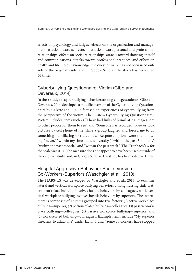effects on psychology and fatigue, effects on the organization and management, attacks toward self-esteem, attacks toward personal and professional relationships, effects on social relationships, attacks toward showing oneself and communications, attacks toward professional practices, and effects on health and life. To our knowledge, the questionnaire has not been used outside of the original study, and, in Google Scholar, the study has been cited 56 times.

# Cyberbullying Questionnaire–Victim (Gibb and Devereux, 2014)

In their study on cyberbullying behaviors among college students, Gibb and Devereux, 2014, developed a modified version of the Cyberbullying Questionnaire by Calvete et al., 2010, focused on experiences of cyberbullying from the perspective of the victim. The 16-item Cyberbullying Questionnaire– Victim includes items such as "I have had links of humiliating images sent to other people for them to see" and "Someone has recorded video or took pictures by cell phone of me while a group laughed and forced me to do something humiliating or ridiculous." Response options were the following: "never," "within my time at the university," "within the past 3 months," "within the past month," and "within the past week." The Cronbach's *α* for the scale was 0.94. The measure does not appear to have been used outside of the original study, and, in Google Scholar, the study has been cited 26 times.

# Hospital Aggressive Behaviour Scale–Version Co-Workers-Superiors (Waschgler et al., 2013)

The HABS-CS was developed by Waschgler and et al., 2013, to examine lateral and vertical workplace bullying behaviors among nursing staff. Lateral workplace bullying involves hostile behaviors by colleagues, while vertical workplace bullying involves hostile behaviors by superiors. The instrument is composed of 17 items grouped into five factors: (1) active workplace bullying—superior, (2) person-related bullying—colleagues, (3) passive workplace bullying—colleagues, (4) passive workplace bullying—superior, and (5) work-related bullying—colleagues. Example items include "My superior threatens to attack me" under factor 1 and "Some co-workers have stopped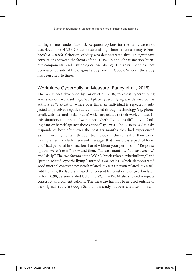talking to me" under factor 3. Response options for the items were not described. The HABS-CS demonstrated high internal consistency (Cronbach's  $\alpha$  = 0.86). Criterion validity was demonstrated through significant correlations between the factors of the HABS-CS and job satisfaction, burnout components, and psychological well-being. The instrument has not been used outside of the original study, and, in Google Scholar, the study has been cited 16 times.

### Workplace Cyberbullying Measure (Farley et al., 2016)

The WCM was developed by Farley et al., 2016, to assess cyberbullying across various work settings. Workplace cyberbullying was defined by the authors as "a situation where over time, an individual is repeatedly subjected to perceived negative acts conducted through technology (e.g. phone, email, websites, and social media) which are related to their work context. In this situation, the target of workplace cyberbullying has difficulty defending him or herself against these actions" (p. 295). The 17-item WCM asks respondents how often over the past six months they had experienced each cyberbullying item through technology in the context of their work. Example items include "received messages that have a disrespectful tone" and "had personal information shared without your permission." Response options were "never," "now and then," "at least monthly," "at least weekly," and "daily." The two factors of the WCM, "work-related cyberbullying" and "person-related cyberbullying," formed two scales, which demonstrated good internal consistencies (work-related, *α* = 0.90; person-related, *α* = 0.81). Additionally, the factors showed convergent factorial validity (work-related factor =  $0.90$ ; person-related factor =  $0.82$ ). The WCM also showed adequate construct and content validity. The measure has not been used outside of the original study. In Google Scholar, the study has been cited two times.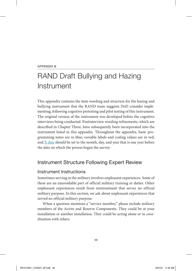#### APPENDIX B

# RAND Draft Bullying and Hazing Instrument

This appendix contains the item wording and structure for the hazing and bullying instrument that the RAND team suggests DoD consider implementing, following cognitive pretesting and pilot testing of this instrument. The original version of the instrument was developed before the cognitive interviews being conducted. Postinterview wording refinements, which are described in Chapter Three, have subsequently been incorporated into the instrument listed in this appendix. Throughout the appendix, basic programming notes are in blue; variable labels and coding values are in red; and  $\overline{X}$  date should be set to the month, day, and year that is one year before the date on which the person began the survey.

### Instrument Structure Following Expert Review

### Instrument Instructions

Sometimes serving in the military involves unpleasant experiences. Some of these are an unavoidable part of official military training or duties. Other unpleasant experiences result from mistreatment that serves no official military purpose. In this section, we ask about unpleasant experiences that served no official military purpose.

When a question mentions a "service member," please include military members of the Active and Reserve Components. They could be at your installation or another installation. They could be acting alone or in coordination with others.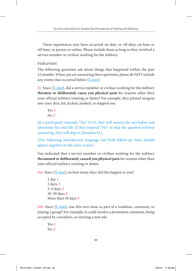These experiences may have occurred on-duty or off-duty, on-base or off-base, in person or online. Please include them as long as they involved a service member or civilian working for the military.

Instrument

The following questions ask about things that happened within the past 12 months. When you are answering these questions, please do NOT include any events that occurred before  $[X \text{ date}]$ .

S1. Since  $[X \text{ date}]$ , did a service member or civilian working for the military **threaten or deliberately cause you physical pain** for reasons other than your official military training or duties? For example, they pinned insignia into your skin, hit, kicked, pushed, or slapped you.

Yes 1  $No<sub>2</sub>$ 

[If a participant responds "Yes" to S1, they will receive the text below and Questions S1a and S1b. If they respond "No" or skip the question without answering, they will skip to Question S2.]

[The following introductory language and both follow-up items should appear together on the same screen.]

You indicated that a service member or civilian working for the military **threatened or deliberately caused you physical pain** for reasons other than your official military training or duties.

S1a. Since  $[X \text{ date}]$ , on how many days did this happen to you?

```
1 day 1
2 days 2
3–9 days 3
10–30 days 4
More than 30 days 5
```
S1b. Since  $[X \text{ date}]$ , was this ever done as part of a tradition, ceremony, or joining a group? For example, it could involve a promotion ceremony, being accepted by coworkers, or starting a new job.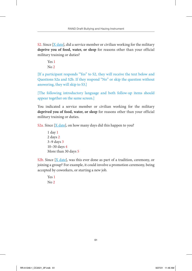S2. Since  $[X$  date, did a service member or civilian working for the military **deprive you of food, water, or sleep** for reasons other than your official military training or duties?

Yes 1 No 2

[If a participant responds "Yes" to S2, they will receive the text below and Questions S2a and S2b. If they respond "No" or skip the question without answering, they will skip to S3.]

[The following introductory language and both follow-up items should appear together on the same screen.]

You indicated a service member or civilian working for the military **deprived you of food, water, or sleep** for reasons other than your official military training or duties.

S2a. Since  $[X \text{ date}]$ , on how many days did this happen to you?

```
1 day 1
2 days 2
3–9 days 3
10–30 days 4
More than 30 days 5
```
S2b. Since  $[X \text{ date}]$ , was this ever done as part of a tradition, ceremony, or joining a group? For example, it could involve a promotion ceremony, being accepted by coworkers, or starting a new job.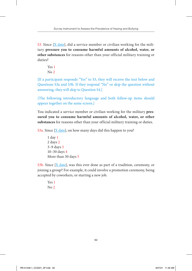S3. Since  $[X \text{ date}]$ , did a service member or civilian working for the military **pressure you to consume harmful amounts of alcohol, water, or other substances** for reasons other than your official military training or duties?

Yes 1 No 2

[If a participant responds "Yes" to S3, they will receive the text below and Questions S3a and S3b. If they respond "No" or skip the question without answering, they will skip to Question S4.]

[The following introductory language and both follow-up items should appear together on the same screen.]

You indicated a service member or civilian working for the military **pressured you to consume harmful amounts of alcohol, water, or other substances** for reasons other than your official military training or duties.

S3a. Since  $[X \text{ date}]$ , on how many days did this happen to you?

```
1 day 1
2 days 2
3–9 days 3
10–30 days 4
More than 30 days 5
```
S3b. Since  $[X \text{ date}]$ , was this ever done as part of a tradition, ceremony, or joining a group? For example, it could involve a promotion ceremony, being accepted by coworkers, or starting a new job.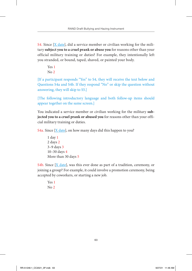S4. Since  $[X \text{ date}]$ , did a service member or civilian working for the military **subject you to a cruel prank or abuse you** for reasons other than your official military training or duties? For example, they intentionally left you stranded, or bound, taped, shaved, or painted your body.

Yes 1 No 2

[If a participant responds "Yes" to S4, they will receive the text below and Questions S4a and S4b. If they respond "No" or skip the question without answering, they will skip to S5.]

[The following introductory language and both follow-up items should appear together on the same screen.]

You indicated a service member or civilian working for the military **subjected you to a cruel prank or abused you** for reasons other than your official military training or duties.

S4a. Since  $[X \text{ date}]$ , on how many days did this happen to you?

```
1 day 1
2 days 2
3–9 days 3
10–30 days 4
More than 30 days 5
```
S4b. Since  $[X \text{ date}]$ , was this ever done as part of a tradition, ceremony, or joining a group? For example, it could involve a promotion ceremony, being accepted by coworkers, or starting a new job.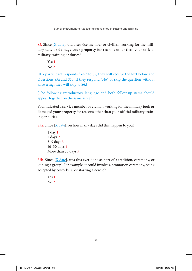S5. Since  $[X \text{ date}]$ , did a service member or civilian working for the military **take or damage your property** for reasons other than your official military training or duties?

Yes 1 No 2

[If a participant responds "Yes" to S5, they will receive the text below and Questions S5a and S5b. If they respond "No" or skip the question without answering, they will skip to S6.]

[The following introductory language and both follow-up items should appear together on the same screen.]

You indicated a service member or civilian working for the military **took or damaged your property** for reasons other than your official military training or duties.

S5a. Since  $[X \text{ date}]$ , on how many days did this happen to you?

```
1 day 1
2 days 2
3–9 days 3
10–30 days 4
More than 30 days 5
```
S5b. Since  $[X \text{ date}]$ , was this ever done as part of a tradition, ceremony, or joining a group? For example, it could involve a promotion ceremony, being accepted by coworkers, or starting a new job.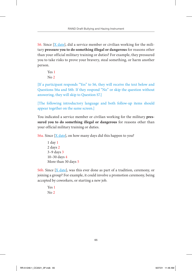S6. Since  $[X \text{ date}]$ , did a service member or civilian working for the military **pressure you to do something illegal or dangerous** for reasons other than your official military training or duties? For example, they pressured you to take risks to prove your bravery, steal something, or harm another person.

```
Yes 1
No 2
```
[If a participant responds "Yes" to S6, they will receive the text below and Questions S6a and S6b. If they respond "No" or skip the question without answering, they will skip to Question S7.]

[The following introductory language and both follow-up items should appear together on the same screen.]

You indicated a service member or civilian working for the military **pressured you to do something illegal or dangerous** for reasons other than your official military training or duties.

S6a. Since  $[X \text{ date}]$ , on how many days did this happen to you?

```
1 day 1
2 days 2
3–9 days 3
10–30 days 4
More than 30 days 5
```
S6b. Since  $[X \text{ date}]$ , was this ever done as part of a tradition, ceremony, or joining a group? For example, it could involve a promotion ceremony, being accepted by coworkers, or starting a new job.

```
Yes 1
No<sub>2</sub>
```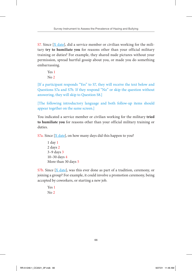S7. Since  $[X \text{ date}]$ , did a service member or civilian working for the military **try to humiliate you** for reasons other than your official military training or duties? For example, they shared nude pictures without your permission, spread hurtful gossip about you, or made you do something embarrassing.

```
Yes 1
No 2
```
[If a participant responds "Yes" to S7, they will receive the text below and Questions S7a and S7b. If they respond "No" or skip the question without answering, they will skip to Question S8.]

[The following introductory language and both follow-up items should appear together on the same screen.]

You indicated a service member or civilian working for the military **tried to humiliate you** for reasons other than your official military training or duties.

S7a. Since  $[X \text{ date}]$ , on how many days did this happen to you?

```
1 day 1
2 days 2
3–9 days 3
10–30 days 4
More than 30 days 5
```
 $S7b$ . Since  $[X \text{ date}]$ , was this ever done as part of a tradition, ceremony, or joining a group? For example, it could involve a promotion ceremony, being accepted by coworkers, or starting a new job.

```
Yes 1
No<sub>2</sub>
```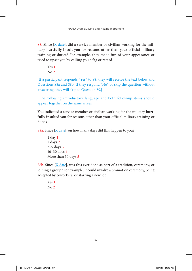S8. Since  $[X \text{ date}]$ , did a service member or civilian working for the military **hurtfully insult you** for reasons other than your official military training or duties? For example, they made fun of your appearance or tried to upset you by calling you a fag or retard.

Yes 1 No 2

[If a participant responds "Yes" to S8, they will receive the text below and Questions S8a and S8b. If they respond "No" or skip the question without answering, they will skip to Question S9.]

[The following introductory language and both follow-up items should appear together on the same screen.]

You indicated a service member or civilian working for the military **hurtfully insulted you** for reasons other than your official military training or duties.

S8a. Since  $[X \text{ date}]$ , on how many days did this happen to you?

```
1 day 1
2 days 2
3–9 days 3
10–30 days 4
More than 30 days 5
```
S8b. Since  $[X \text{ date}]$ , was this ever done as part of a tradition, ceremony, or joining a group? For example, it could involve a promotion ceremony, being accepted by coworkers, or starting a new job.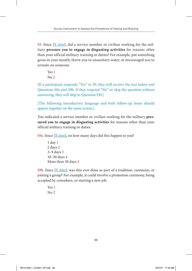S. Since  $[X \text{ date}]$ , did a service member or civilian working for the military **pressure you to engage in disgusting activities** for reasons other than your official military training or duties? For example, put something gross in your mouth, threw you in unsanitary water, or encouraged you to urinate on someone.

```
Yes 1
No 2
```
[If a participant responds "Yes" to S9, they will receive the text below and Questions S9a and S9b. If they respond "No" or skip the question without answering, they will skip to Question S10.]

[The following introductory language and both follow-up items should appear together on the same screen.]

You indicated a service member or civilian working for the military **pressured you to engage in disgusting activities** for reasons other than your official military training or duties.

S9a. Since  $[X \text{ date}]$ , on how many days did this happen to you?

```
1 day 1
2 days 2
3–9 days 3
10–30 days 4
More than 30 days 5
```
S9b. Since  $[X \text{ date}]$ , was this ever done as part of a tradition, ceremony, or joining a group? For example, it could involve a promotion ceremony, being accepted by coworkers, or starting a new job.

```
Yes 1
No<sub>2</sub>
```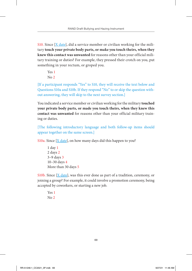S10. Since  $[X \text{ date}]$ , did a service member or civilian working for the military **touch your private body parts, or make you touch theirs, when they knew this contact was unwanted** for reasons other than your official military training or duties? For example, they pressed their crotch on you, put something in your rectum, or groped you.

```
Yes 1
No 2
```
[If a participant responds "Yes" to S10, they will receive the text below and Questions S10a and S10b. If they respond "No" to or skip the question without answering, they will skip to the next survey section.]

You indicated a service member or civilian working for the military **touched your private body parts, or made you touch theirs, when they knew this contact was unwanted** for reasons other than your official military training or duties.

[The following introductory language and both follow-up items should appear together on the same screen.]

S10a. Since  $[X \text{ date}]$ , on how many days did this happen to you?

```
1 day 1
2 days 2
3–9 days 3
10–30 days 4
More than 30 days 5
```
S10b. Since  $[X \text{ date}]$ , was this ever done as part of a tradition, ceremony, or joining a group? For example, it could involve a promotion ceremony, being accepted by coworkers, or starting a new job.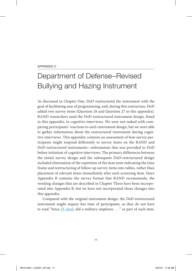#### APPENDIX C

## Department of Defense–Revised Bullying and Hazing Instrument

As discussed in Chapter One, DoD restructured the instrument with the goal of facilitating ease of programming, and, during this restructure, DoD added two survey items (Question 26 and Question 27 in this appendix). RAND researchers used the DoD-restructured instrument design, listed in this appendix, in cognitive interviews. We were not tasked with comparing participants' reactions to each instrument design, but we were able to gather information about the restructured instrument during cognitive interviews. This appendix contains an assessment of how survey participants might respond differently to survey items on the RAND and DoD-restructured instruments—information that was provided to DoD before initiation of cognitive interviews. The primary differences between the initial survey design and the subsequent DoD-restructured design included elimination of the repetition of the item stem indicating the time frame and restructuring of follow-up survey items into tables, rather than placement of relevant items immediately after each screening item. Since Appendix B contains the survey format that RAND recommends, the wording changes that are described in Chapter Three have been incorporated into Appendix B, but we have not incorporated those changes into this appendix.

Compared with the original instrument design, the DoD-restructured instrument might require less time of participants, as they do not have to read "Since  $[X \text{ date}]$ , did a military employee . . ." as part of each item.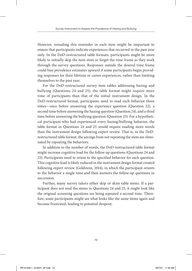However, rereading this reminder in each item might be important to ensure that participants indicate experiences that occurred in the past year only. In the DoD-restructured table formats, participants might be more likely to initially skip the item stem or forget the time frame as they work through the survey questions. Responses outside the desired time frame could bias prevalence estimates upward if some participants begin providing responses for their lifetime or career experiences, rather than limiting themselves to the past year.

For the DoD-restructured survey item tables addressing hazing and bullying (Questions 24 and 25), the table format might require more time of participants than that of the initial instrument design. In the DoD-restructured format, participants need to read each behavior three times—once before answering the experience question (Question 22), a second time before answering the hazing question (Question 24), and a third time before answering the bullying question (Question 25). For a hypothetical participant who had experienced every hazing/bullying behavior, the table format in Questions 24 and 25 would require reading more words than the instrument design following expert review. That is, in the DoDrestructured table format, the savings from not repeating the stem are eliminated by repeating the behaviors.

In addition to the number of words, the DoD-restructured table format might increase cognitive load for the follow‐up questions (Questions 24 and 25). Participants need to orient to the specified behavior for each question. This cognitive load is likely reduced in the instrument design format created following expert review (Goldstein, 2014), in which the participant orients to the behavior a single time and then answers the follow‐up questions in succession.

Further, many survey takers either skip or skim table stems. If a participant does not read the stems to Questions 24 and 25, it might look like the original screening questions are being repeated a second time. Therefore, some participants might see what looks like the same items again and become frustrated, leading to potential dropout.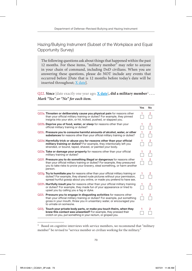Hazing/Bullying Instrument (Subset of the Workplace and Equal Opportunity Survey)

The following questions ask about things that happened within the past 12 months. For these items, "military member" may refer to anyone in your chain of command, including DoD civilians. When you are answering these questions, please do NOT include any events that occurred before [Date that is 12 months before today's date will be inserted throughout; X date].

Q22. **Since** [date exactly one year ago; **X date**]**, did a military member**<sup>1</sup> **. . .** *Mark "Yes" or "No" for each item.*

|                                                                                                                                                                                                                                                          | Yes | No             |
|----------------------------------------------------------------------------------------------------------------------------------------------------------------------------------------------------------------------------------------------------------|-----|----------------|
| Q22a. Threaten or deliberately cause you physical pain for reasons other<br>than your official military training or duties? For example, they pinned<br>insignia into your skin, or hit, kicked, pushed, or slapped you.                                 |     | $\overline{2}$ |
| Q22b. Deprive you of food, water, or sleep for reasons other than your<br>official military training or duties?                                                                                                                                          |     |                |
| Q22c. Pressure you to consume harmful amounts of alcohol, water, or other<br>substances for reasons other than your official military training or duties?                                                                                                |     | 2              |
| Q22d. Harmfully trick or abuse you for reasons other than your official<br>military training or duties? For example, they intentionally left you<br>stranded, or bound, taped, shaved, or painted your body.                                             |     |                |
| Q22e. Take or damage your property for reasons other than your official<br>military training or duties?                                                                                                                                                  |     | 2              |
| Q22f. Pressure you to do something illegal or dangerous for reasons other<br>than your official military training or duties? For example, they pressured<br>you to take risks to prove your bravery, steal something, or harm another<br>person.         |     |                |
| Q22g. Try to humiliate you for reasons other than your official military training or<br>duties? For example, they shared nude pictures without your permission,<br>spread hurtful gossip about you online, or made you pretend to have sex.              |     |                |
| Q22h. Hurtfully insult you for reasons other than your official military training<br>or duties? For example, they made fun of your appearance or tried to<br>upset you by calling you a fag or dyke.                                                     |     |                |
| Q22i. Pressure you to engage in disgusting activities for reasons other<br>than your official military training or duties? For example, put something<br>gross in your mouth, threw you in unsanitary water, or encouraged you<br>to urinate on someone. |     |                |
| Q22j. Touch your private body parts, or make you touch theirs, when they<br>knew this contact was unwanted? For example, they pressed their<br>crotch on you, put something in your rectum, or groped you.                                               |     |                |

 $1$  Based on cognitive interviews with service members, we recommend that "military" member" be revised to "service member or civilian working for the military."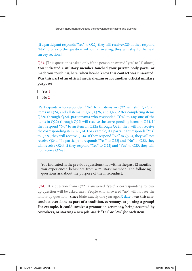[If a participant responds "Yes" to Q22j, they will receive Q23. If they respond "No" to or skip the question without answering, they will skip to the next survey section.]

Q23. [This question is asked only if the person answered "yes" to "j" above] **You indicated a military member touched your private body parts, or made you touch his/hers, when he/she knew this contact was unwanted. Was this part of an official medical exam or for another official military purpose?**



 $\Box$  No 2

[Participants who responded "No" to all items in Q22 will skip Q23, all items in Q24, and all items in Q25, Q26, and Q27. After completing items Q22a through Q22j, participants who responded "Yes" to any one of the items in Q22a through Q22i will receive the corresponding items in Q24. If they respond "No" to an item in Q22a through Q22i, they will not receive the corresponding item in Q24. For example, if a participant responds "Yes" to Q22a, they will receive Q24a. If they respond "No" to Q22a, they will not receive Q24a. If a participant responds "Yes" to Q22j and "No" to Q23, they will receive Q24j. If they respond "Yes" to Q22j and "Yes" to Q23, they will not receive Q24j.]

You indicated in the previous questions that within the past 12 months you experienced behaviors from a military member. The following questions ask about the purpose of the misconduct.

Q24. [If a question from Q22 is answered "yes," a corresponding followup question will be asked next. People who answered "no" will not see the follow-up question.] **Since** [date exactly one year ago; X date]**, was this misconduct ever done as part of a tradition, ceremony, or joining a group? For example, it could involve a promotion ceremony, being accepted by coworkers, or starting a new job.** *Mark "Yes" or "No" for each item.*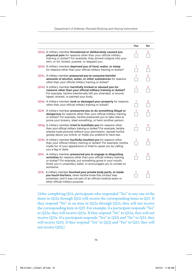|                                                                                                                                                                                                                                                                                | Yes | No             |
|--------------------------------------------------------------------------------------------------------------------------------------------------------------------------------------------------------------------------------------------------------------------------------|-----|----------------|
| Q24a. A military member threatened or deliberately caused you<br>physical pain for reasons other than your official military<br>training or duties? For example, they pinned insignia into your<br>skin, or hit, kicked, pushed, or slapped you.                               | 1   | 2              |
| Q24b. A military member deprived you of food, water, or sleep<br>for reasons other than your official military training or duties?                                                                                                                                             | 1   | $\overline{2}$ |
| Q24c. A military member pressured you to consume harmful<br>amounts of alcohol, water, or other substances for reasons<br>other than your official military training or duties?                                                                                                | 1   |                |
| Q24d. A military member harmfully tricked or abused you for<br>reasons other than your official military training or duties?<br>For example, he/she intentionally left you stranded, or bound,<br>taped, shaved, or painted your body.                                         | 1   | 2              |
| Q24e. A military member took or damaged your property for reasons<br>other than your official military training or duties?                                                                                                                                                     | 1   | 2              |
| Q24f. A military member pressured you to do something illegal or<br>dangerous for reasons other than your official military training<br>or duties? For example, he/she pressured you to take risks to<br>prove your bravery, steal something, or harm another person.          | 1   |                |
| Q24g. A military member tried to humiliate you for reasons other<br>than your official military training or duties? For example, he/she<br>shared nude pictures without your permission, spread hurtful<br>gossip about you online, or made you pretend to have sex.           | 1   | 2              |
| Q24h. A military member hurtfully insulted you for reasons other<br>than your official military training or duties? For example, he/she<br>made fun of your appearance or tried to upset you by calling<br>you a fag or dyke.                                                  | 1   | 2              |
| Q24i. A military member pressured you to engage in disgusting<br>activities for reasons other than your official military training<br>or duties? For example, put something gross in your mouth,<br>threw you in unsanitary water, or encouraged you to urinate on<br>someone. |     |                |
| Q24j. A military member touched your private body parts, or made<br>you touch his/hers, when he/she knew this contact was<br>unwanted, and it was not part of an official medical exam or<br>other official military purpose.                                                  |     | 2              |

[After completing Q24, participants who responded "Yes" to any one of the items in Q22a through Q22i will receive the corresponding items in Q25. If they respond "No" to an item in Q22a through Q22i, they will not receive the corresponding item in Q25. For example, if a participant responds "Yes" to Q22a, they will receive Q25a. If they respond "No" to Q22a, they will not receive Q25a. If a participant responds "Yes" to Q22j and "No" to Q23, they will receive Q25j. If they respond "Yes" to Q22j and "Yes" to Q23, they will not receive Q25j.]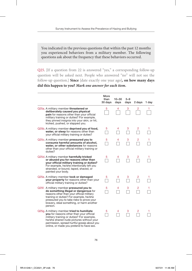You indicated in the previous questions that within the past 12 months you experienced behaviors from a military member. The following questions ask about the frequency that these behaviors occurred.

Q25. [If a question from 22 is answered "yes," a corresponding follow-up question will be asked next. People who answered "no" will not see the follow-up question.] **Since** [date exactly one year ago]**, on how many days did this happen to you?** *Mark one answer for each item.*

|                                                                                                                                                                                                                                                                                | More<br>than<br>30 days | 10-30<br>days | 3–9<br>days | 2 days         | 1 day |
|--------------------------------------------------------------------------------------------------------------------------------------------------------------------------------------------------------------------------------------------------------------------------------|-------------------------|---------------|-------------|----------------|-------|
| Q25a. A military member threatened or<br>deliberately caused you physical<br>pain for reasons other than your official<br>military training or duties? For example,<br>they pinned insignia into your skin, or hit,<br>kicked, pushed, or slapped you.                         | 5                       | 4             | 3           | $\overline{2}$ | 1     |
| Q25b. A military member deprived you of food,<br>water, or sleep for reasons other than<br>your official military training or duties?                                                                                                                                          | 5                       | 4             | 3           | 2              |       |
| Q25c. A military member pressured you to<br>consume harmful amounts of alcohol,<br>water, or other substances for reasons<br>other than your official military training or<br>duties?                                                                                          | 5                       | 4             | 3           | 2              |       |
| Q25d. A military member harmfully tricked<br>or abused you for reasons other than<br>your official military training or duties?<br>For example, he/she intentionally left you<br>stranded, or bound, taped, shaved, or<br>painted your body.                                   | 5                       | 4             | 3           | 2              |       |
| Q25e. A military member took or damaged<br>your property for reasons other than your<br>official military training or duties?                                                                                                                                                  | 5                       | 4             | 3           | 2              |       |
| Q25f. A military member pressured you to<br>do something illegal or dangerous for<br>reasons other than your official military<br>training or duties? For example, he/she<br>pressured you to take risks to prove your<br>bravery, steal something, or harm another<br>person. | 5                       | 4             | 3           | 2              |       |
| Q25g. A military member tried to humiliate<br>you for reasons other than your official<br>military training or duties? For example,<br>he/she shared nude pictures without your<br>permission, spread hurtful gossip about you                                                 | 5                       | 4             | 3           | 2              |       |

online, or made you pretend to have sex.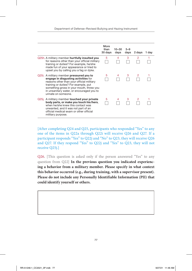|                                                                                                                                                                                                                                                                                      | More<br>than<br>30 days | $10 - 30$<br>days | $3 - 9$<br>days | 2 days        | 1 day |
|--------------------------------------------------------------------------------------------------------------------------------------------------------------------------------------------------------------------------------------------------------------------------------------|-------------------------|-------------------|-----------------|---------------|-------|
| Q25h. A military member hurtfully insulted you<br>for reasons other than your official military<br>training or duties? For example, he/she<br>made fun of your appearance or tried to<br>upset you by calling you a fag or dyke.                                                     | 5                       | 4                 | 3               | $\mathcal{P}$ |       |
| Q25i. A military member pressured you to<br>engage in disgusting activities for<br>reasons other than your official military<br>training or duties? For example, put<br>something gross in your mouth, threw you<br>in unsanitary water, or encouraged you to<br>urinate on someone. | 5                       | 4                 | 3               | 2             |       |
| Q25j. A military member touched your private<br>body parts, or make you touch his/hers,<br>when he/she knew this contact was<br>unwanted, and it was not part of an<br>official medical exam or other official<br>military purpose.                                                  | 5                       |                   | 3               | 2             |       |

[After completing Q24 and Q25, participants who responded "Yes" to any one of the items in Q22a through Q22i will receive Q26 and Q27. If a participant responds "Yes" to Q22j and "No" to Q23, they will receive Q26 and Q27. If they respond "Yes" to Q22j and "Yes" to Q23, they will not receive Q25j.]

Q26. [This question is asked only if the person answered "Yes" to any question from Q22] **In the previous question you indicated experiencing a behavior from a military member. Please specify in what context this behavior occurred (e.g., during training, with a supervisor present). Please do not include any Personally Identifiable Information (PII) that could identify yourself or others.**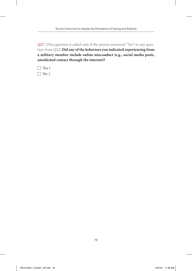Q27. [This question is asked only if the person answered "Yes" to any question from Q22] **Did any of the behaviors you indicated experiencing from a military member include online misconduct (e.g., social media posts, unsolicited contact through the internet)?**

 $\Box$  Yes 1  $\Box$  No 2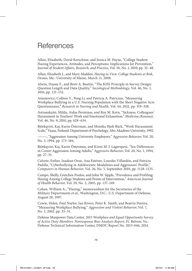## **References**

Allan, Elizabeth, David Kerschner, and Jessica M. Payne, "College Student Hazing Experiences, Attitudes, and Perceptions: Implications for Prevention," *Journal of Student Affairs, Research, and Practice*, Vol. 56, No. 1, 2019, pp. 32–48.

Allan, Elizabeth J., and Mary Madden, *Hazing in View: College Students at Risk*, Orono, Me.: University of Maine, March 11, 2008.

Alwin, Duane F., and Brett A. Beattie, "The KISS Principle in Survey Design: Question Length and Data Quality," *Sociological Methodology*, Vol. 46, No. 1, 2016, pp. 121–152.

Anusiewicz, Colleen V., Peng Li, and Patricia A. Patrician, "Measuring Workplace Bullying in a U.S. Nursing Population with the Short Negative Acts Questionnaire," *Research in Nursing and Health*, Vol. 44, 2021, pp. 319–328.

Astrauskaitė, Milda, Aidas Perminas, and Roy M. Kern, "Sickness, Colleagues' Harassment in Teachers' Work and Emotional Exhaustion," *Medicina (Kaunas)*, Vol. 46, No. 9, 2010, pp. 628–634.

Björkqvist, Kaj, Karin Österman, and Monika Hjelt‐Bäck, "Work Harassment Scale," Vaasa, Finland: Department of Psychology, Abo Akademi University, 1992.

———, "Aggression Among University Employees," *Aggressive Behavior*, Vol. 20, No. 3, 1994, pp. 173–184.

Björkqvist, Kaj, Karin Österman, and Kirsti M. J. Lagerspetz, "Sex Differences in Covert Aggression Among Adults," *Aggressive Behavior*, Vol. 20, No. 1, 1994, pp. 27–33.

Calvete, Esther, Izaskun Orue, Ana Estévez, Lourdes Villardón, and Patricia Padilla, "Cyberbullying in Adolescents: Modalities and Aggressors' Profile," *Computers in Human Behavior*, Vol. 26, No. 5, September 2010, pp. 1128–1135.

Campo, Shelly, Gretchen Poulos, and John W. Sipple, "Prevalence and Profiling: Hazing Among College Students and Points of Intervention," *American Journal of Health Behavior*, Vol. 29, No. 2, 2005, pp. 137–149.

Cohen, William A., "Hazing," memorandum for the Secretaries of the Military Departments et al., Washington, D.C.: U.S. Department of Defense, August 28, 1997.

Cowie, Helen, Paul Naylor, Ian Rivers, Peter K. Smith, and Beatriz Pereira, "Measuring Workplace Bullying," *Aggression and Violent Behavior*, Vol. 7, No. 1, 2002, pp. 33–51.

Defense Manpower Data Center, *2013 Workplace and Equal Opportunity Survey of Active Duty Members: Nonresponse Bias Analysis Report*, Ft. Belvoir, Va.: Defense Technical Information Center, DMDC Report No. 2013-046, 2014.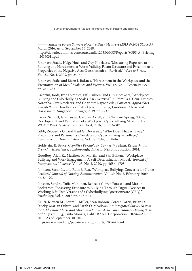———, *Status of Forces Surveys of Active Duty Members (2013 & 2014 SOFS-A)*, March 2016. As of September 13, 2018:

[https://download.militaryonesource.mil/12038/MOS/Reports/SOFS-A\\_Briefing](https://download.militaryonesource.mil/12038/MOS/Reports/SOFS-A_Briefing_20160311.pdf) \_20160311.pdf

Einarsen, Staale, Helge Hoel, and Guy Notelaers, "Measuring Exposure to Bullying and Harassment at Work: Validity, Factor Structure and Psychometric Properties of the Negative Acts Questionnaire—Revised," *Work & Stress*, Vol. 23, No. 1, 2009, pp. 24–44.

Einarsen, Ståle, and Bjørn I. Raknes, "Harassment in the Workplace and the Victimization of Men," *Violence and Victims*, Vol. 12, No. 3, February 1997, pp. 247–263.

Escartin, Jordi, Ivana Vranjes, Elfi Baillien, and Guy Notelaers, "Workplace Bullying and Cyberbullying Scales: An Overview," in Premilla D'Cruz, Ernesto Noronha, Guy Notelaers, and Charlotte Rayner, eds., *Concepts, Approaches and Methods*, Handbooks of Workplace Bullying, Emotional Abuse and Harassment, Singapore: Springer, 2019, pp. 1–37.

Farley, Samuel, Iain Coyne, Carolyn Axtell, and Christine Sprigg, "Design, Development and Validation of a Workplace Cyberbullying Measure, the WCM," *Work & Stress*, Vol. 30, No. 4, 2016, pp. 293–317.

Gibb, Zebbedia G., and Paul G. Devereux, "Who Does That Anyway? Predictors and Personality Correlates of Cyberbullying in College," *Computers in Human Behavior*, Vol. 38, 2014, pp. 8–16.

Goldstein, E. Bruce, *Cognitive Psychology: Connecting Mind, Research and Everyday Experience*, Scarborough, Ontario: Nelson Education, 2014.

Goodboy, Alan K., Matthew M. Martin, and San Bolkan, "Workplace Bullying and Work Engagement: A Self-Determination Model," *Journal of Interpersonal Violence*, Vol. 35, No. 2, 2020, pp. 4686–4708.

Johnson, Susan L., and Ruth E. Rea, "Workplace Bullying: Concerns for Nurse Leaders," *Journal of Nursing Administration*, Vol. 39, No. 2, February 2009, pp. 84–90.

Jonsson, Sandra, Tuija Muhonen, Rebecka Cowen Forssell, and Martin Backstrom, "Assessing Exposure to Bullying Through Digital Devices in Working Life: Two Versions of a Cyberbullying Questionnaire (CBQ)," *Psychology*, Vol. 8, 2017, pp. 477–494.

Keller, Kirsten M., Laura L. Miller, Sean Robson, Coreen Farris, Brian D. Stucky, Marian Oshiro, and Sarah O. Meadows, *An Integrated Survey System for Addressing Abuse and Misconduct Toward Air Force Trainees During Basic Military Training*, Santa Monica, Calif.: RAND Corporation, RR-964-AF, 2015. As of September 30, 2019:

[https://www.rand.org/pubs/research\\_reports/RR964.html](https://www.rand.org/pubs/research_reports/RR964.html)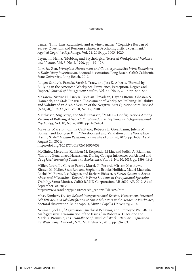Lenzer, Timo, Lars Kaczmirek, and Alwine Lenzner, "Cognitive Burden of Survey Questions and Response Times: A Psycholinguistic Experiment," *Applied Cognitive Psychology*, Vol. 24, 2010, pp. 1003–1020.

Leymann, Heinz, "Mobbing and Psychological Terror at Workplaces," *Violence and Victims*, Vol. 5, No. 2, 1990, pp. 119–126.

Low, Sze Zen, *Workplace Harassment and Counterproductive Work Behaviors: A Daily Diary Investigation*, doctoral dissertation, Long Beach, Calif.: California State University, Long Beach, 2012.

Lutgen-Sandvik, Pamela, Sarah J. Tracy, and Jess K. Alberts, "Burned by Bullying in the American Workplace: Prevalence, Perception, Degree and Impact," *Journal of Management Studies*, Vol. 44, No. 6, 2007, pp. 837–862.

Makarem, Nisrine N., Lucy R. Tavitian-Elmadjian, Dayana Brome, Ghassan N. Hamadeh, and Stale Einarsen, "Assessment of Workplace Bullying: Reliability and Validity of an Arabic Version of the Negative Acts Questionnaire-Revised (NAQ-R)," *BMJ Open*, Vol. 8, No. 12, 2018.

Matthiesen, Stig Berge, and Ståle Einarsen, "MMPI-2 Configurations Among Victims of Bullying at Work," *European Journal of Work and Organizational Psychology*, Vol. 10, No. 4, 2001, pp. 467–484.

Mawritz, Mary B., Johnna Capitano, Rebecca L. Greenbaum, Julena M. Bonner, and Joongseo Kim, "Development and Validation of the Workplace Hazing Scale," *Human Relations*, online ahead of print, 2020, pp. 1–38. As of August 24, 2021:

<https://doi.org/10.1177/0018726720957058>

McGinley, Meredith, Kathleen M. Rospenda, Li Liu, and Judith A. Richman, "Chronic Generalized Harassment During College: Influences on Alcohol and Drug Use," *Journal of Youth and Adolescence*, Vol. 44, No. 10, 2015, pp. 1898–1913.

Miller, Laura L., Coreen Farris, Marek N. Posard, Miriam Matthews, Kirsten M. Keller, Sean Robson, Stephanie Brooks Holliday, Mauri Matsuda, Rachel M. Burns, Lisa Wagner, and Barbara Bicksler, *A Survey System to Assess Abuse and Misconduct Toward Air Force Students in Occupational Specialty Training*, Santa Monica, Calif.: RAND Corporation, RR-2692-AF, 2019. As of September 30, 2019:

[https://www.rand.org/pubs/research\\_reports/RR2692.html](https://www.rand.org/pubs/research_reports/RR2692.html)

Moss, Kimberly D., *Age-Related Intergenerational Tension, Harassment, Perceived Self-Efficacy, and Job Satisfaction of Nurse Educators in the Academic Workplace*, doctoral dissertation, Minneapolis, Minn.: Capella University, 2014.

Neuman, Joel H., "Aggression, Unethical Behavior, and Employee Well-Being: An 'Aggressive' Examination of the Issues," in Robert A. Giacalone and Mark D. Promislo, eds., *Handbook of Unethical Work Behavior: Implications for Well-Being*, Armonk, N.Y.: M. E. Sharpe, 2013, pp. 89–103.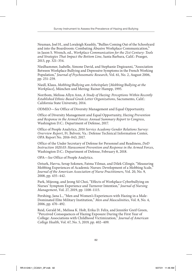Neuman, Joel H., and Loraleigh Keashly, "Bullies Coming Out of the Schoolyard and into the Boardroom: Combating Abusive Workplace Communication," in Jason S. Wrench, ed., *Workplace Communication for the 21st Century: Tools and Strategies That Impact the Bottom Line*, Santa Barbara, Calif.: Praeger, 2013, pp. 321–354.

Niedhammer, Isabelle, Simone David, and Stephanie Degioanni, "Association Between Workplace Bullying and Depressive Symptoms in the French Working Population," *Journal of Psychosomatic Research*, Vol. 61, No. 2, August 2006, pp. 251–259.

Niedl, Klaus, *Mobbing/Bullying am Arbeitsplatz* [*Mobbing/Bullying at the Workplace*], München und Mering: Rainer Hampp, 1995.

Norrbom, Melissa Allyn Ann, *A Study of Hazing: Perceptions Within Recently Established Ethnic-Based Greek Letter Organizations*, Sacramento, Calif.: California State University, 2014.

ODMEO—*See* Office of Diversity Management and Equal Opportunity.

Office of Diversity Management and Equal Opportunity, *Hazing Prevention and Response in the Armed Forces: Annual Summary Report to Congress*, Washington D.C.: Department of Defense, 2017.

Office of People Analytics, *2016 Service Academy Gender Relations Survey: Overview Report*, Ft. Belvoir, Va.: Defense Technical Information Center, OPA Report No. 2016-043, 2017.

Office of the Under Secretary of Defense for Personnel and Readiness, *DoD Instruction 1020.03: Harassment Prevention and Response in the Armed Forces*, Washington D.C.: Department of Defense, February 8, 2018.

OPA—*See* Office of People Analytics.

Ozturk, Havva, Serap Sokmen, Fatma Yilmaz, and Dilek Cilingir, "Measuring Mobbing Experiences of Academic Nurses: Development of a Mobbing Scale," *Journal of the American Association of Nurse Practitioners*, Vol. 20, No. 9, 2008, pp. 435–442.

Park, Mijeong, and Jeong Sil Choi, "Effects of Workplace Cyberbullying on Nurses' Symptom Experience and Turnover Intention," *Journal of Nursing Management*, Vol. 27, 2019, pp. 1108–1115.

Pershing, Jana L., "Men and Women's Experiences with Hazing in a Male-Dominated Elite Military Institution," *Men and Masculinities*, Vol. 8, No. 4, 2006, pp. 470–492.

Reid, Gerald M., Melissa K. Holt, Erika D. Felix, and Jennifer Greif Green, "Perceived Consequences of Hazing Exposure During the First Year of College: Associations with Childhood Victimization," *Journal of American College Health*, Vol. 67, No. 5, 2019, pp. 402–409.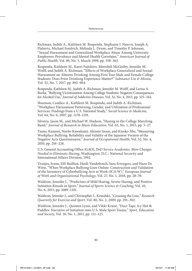Richman, Judith A., Kathleen M. Rospenda, Stephanie J. Nawyn, Joseph A. Flaherty, Michael Fendrich, Melinda L. Drum, and Timothy P. Johnson, "Sexual Harassment and Generalized Workplace Abuse Among University Employees: Prevalence and Mental Health Correlates," *American Journal of Public Health*, Vol. 89, No. 3, March 1999, pp. 358–363.

Rospenda, Kathleen M., Kaori Fujishiro, Meredith McGinley, Jennifer M. Wolff, and Judith A. Richman, "Effects of Workplace Generalized and Sexual Harassment on Abusive Drinking Among First Year Male and Female College Students: Does Prior Drinking Experience Matter?" *Substance Use & Misuse*, Vol. 52, No. 7, 2017, pp. 892–904.

Rospenda, Kathleen M., Judith A. Richman, Jennifer M. Wolff, and Larisa A. Burke, "Bullying Victimization Among College Students: Negative Consequences for Alcohol Use," *Journal of Addictive Diseases*, Vol. 32, No. 4, 2013, pp. 325–342.

Shannon, Candice A., Kathleen M. Rospenda, and Judith A. Richman, "Workplace Harassment Patterning, Gender, and Utilization of Professional Services: Findings from a U.S. National Study," *Social Science & Medicine*, Vol. 64, No. 6, 2007, pp. 1178–1191.

Silveira, Jason M., and Michael W. Hudson, "Hazing in the College Marching Band," *Journal of Research in Music Education*, Vol. 63, No. 1, 2015, pp. 5–27.

Tsuno, Kanami, Norito Kawakami, Akiomi Inoue, and Kiyoko Abe, "Measuring Workplace Bullying: Reliability and Validity of the Japanese Version of the Negative Acts Questionnaire," *Journal of Occupational Health*, Vol. 52, No. 4, 2010, pp. 216–226.

U.S. General Accounting Office (GAO), *DoD Service Academies: More Changes Needed to Eliminate Hazing*, Washington, D.C.: National Security and International Affairs Division, 1992.

Vranjes, Ivana, Elfi Baillien, Heidi Vandebosch, Sara Erreygers, and Hans De Witte, "When Workplace Bullying Goes Online: Construction and Validation of the Inventory of Cyberbullying Acts at Work (ICA-W)," *European Journal of Work and Organizational Psychology*, Vol. 27, No. 1, 2018, pp. 28–39.

Waldron, Jennifer J., "Predictors of Mild Hazing, Severe Hazing, and Positive Initiation Rituals in Sport," *Journal of Sports Science & Coaching*, Vol. 10, No. 6, 2015, pp. 1089–1101.

Waldron, Jennifer J., and Christopher L. Kowalski, "Crossing the Line," *Research Quarterly for Exercise and Sport*, Vol. 80, No. 2, 2009, pp. 291–302.

Waldron, Jennifer J., Quinten Lynn, and Vikki Krane, "Duct Tape, Icy Hot & Paddles: Narrative of Initiation onto U.S. Male Sport Teams," *Sport, Education and Society*, Vol. 16, No. 1, 2011, pp. 111–125.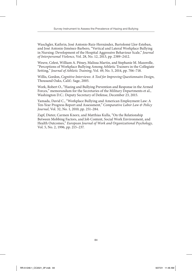Waschgler, Kathrin, José Antonio Ruiz-Hernández, Bartolomé Llor-Esteban, and José Antonio Jiménez-Barbero, "Vertical and Lateral Workplace Bullying in Nursing: Development of the Hospital Aggressive Behaviour Scale," *Journal of Interpersonal Violence*, Vol. 28, No. 12, 2013, pp. 2389–2412.

Weuve, Celest, William A. Pitney, Malissa Martin, and Stephanie M. Mazerolle, "Perceptions of Workplace Bullying Among Athletic Trainers in the Collegiate Setting," *Journal of Athletic Training*, Vol. 49, No. 5, 2014, pp. 706–718.

Willis, Gordon, *Cognitive Interviews: A Tool for Improving Questionnaire Design*, Thousand Oaks, Calif.: Sage, 2005.

Work, Robert O., "Hazing and Bullying Prevention and Response in the Armed Forces," memorandum for the Secretaries of the Military Departments et al., Washington D.C.: Deputy Secretary of Defense, December 23, 2015.

Yamada, David C., "Workplace Bullying and American Employment Law: A Ten-Year Progress Report and Assessment," *Comparative Labor Law & Policy Journal*, Vol. 32, No. 1, 2010, pp. 251–284.

Zapf, Dieter, Carmen Knorz, and Matthias Kulla, "On the Relationship Between Mobbing Factors, and Job Content, Social Work Environment, and Health Outcomes," *European Journal of Work and Organizational Psychology*, Vol. 5, No. 2, 1996, pp. 215–237.